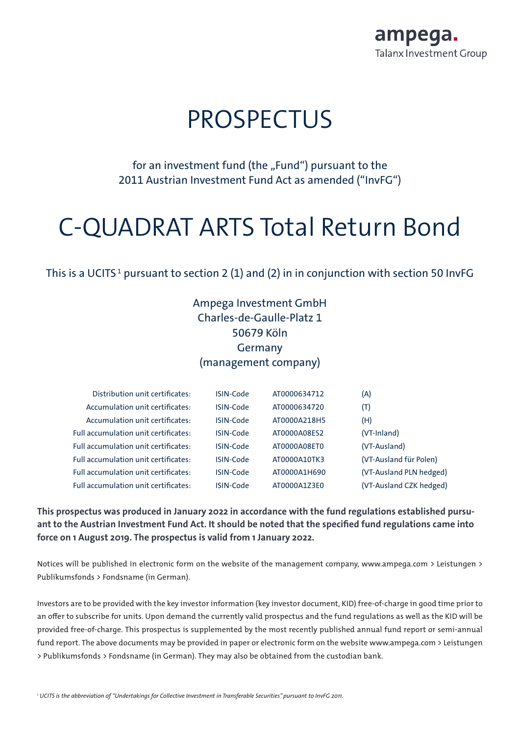

# **PROSPECTUS**

for an investment fund (the "Fund") pursuant to the 2011 Austrian Investment Fund Act as amended ("InvFG")

# C-QUADRAT ARTS Total Return Bond

This is a UCITS  $^{\text{1}}$  pursuant to section 2 (1) and (2) in in conjunction with section 50 InvFG

## Ampega Investment GmbH Charles-de-Gaulle-Platz 1 50679 Köln Germany (management company)

| Distribution unit certificates:             | ISIN-Code        | AT0000634712 | (A)                     |
|---------------------------------------------|------------------|--------------|-------------------------|
| Accumulation unit certificates:             | ISIN-Code        | AT0000634720 | (T)                     |
| Accumulation unit certificates:             | ISIN-Code        | AT0000A218H5 | (H)                     |
| <b>Full accumulation unit certificates:</b> | ISIN-Code        | AT0000A08ES2 | (VT-Inland)             |
| Full accumulation unit certificates:        | <b>ISIN-Code</b> | AT0000A08ET0 | (VT-Ausland)            |
| Full accumulation unit certificates:        | <b>ISIN-Code</b> | AT0000A10TK3 | (VT-Ausland für Polen)  |
| <b>Full accumulation unit certificates:</b> | ISIN-Code        | AT0000A1H690 | (VT-Ausland PLN hedged) |
| <b>Full accumulation unit certificates:</b> | <b>ISIN-Code</b> | AT0000A1Z3E0 | (VT-Ausland CZK hedged) |

This prospectus was produced in January 2022 in accordance with the fund regulations established pursuant to the Austrian Investment Fund Act. It should be noted that the specified fund regulations came into force on 1 August 2019. The prospectus is valid from 1 January 2022.

Notices will be published in electronic form on the website of the management company, www.ampega.com > Leistungen > Publikumsfonds > Fondsname (in German).

Investors are to be provided with the key investor information (key investor document, KID) free-of-charge in good time prior to an offer to subscribe for units. Upon demand the currently valid prospectus and the fund regulations as well as the KID will be provided free-of-charge. This prospectus is supplemented by the most recently published annual fund report or semi-annual fund report. The above documents may be provided in paper or electronic form on the website www.ampega.com > Leistungen > Publikumsfonds > Fondsname (in German). They may also be obtained from the custodian bank.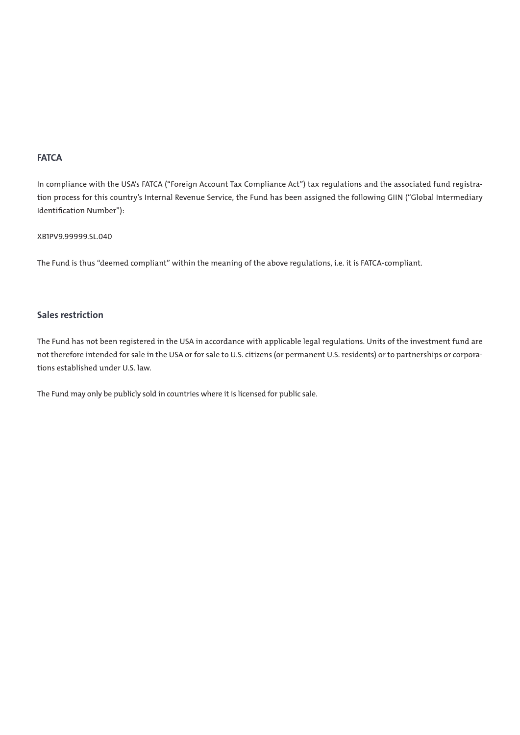## **FATCA**

In compliance with the USA's FATCA ("Foreign Account Tax Compliance Act") tax regulations and the associated fund registration process for this country's Internal Revenue Service, the Fund has been assigned the following GIIN ("Global Intermediary Identification Number"):

## XB1PV9.99999.SL.040

The Fund is thus "deemed compliant" within the meaning of the above regulations, i.e. it is FATCA-compliant.

## Sales restriction

The Fund has not been registered in the USA in accordance with applicable legal regulations. Units of the investment fund are not therefore intended for sale in the USA or for sale to U.S. citizens (or permanent U.S. residents) or to partnerships or corporations established under U.S. law.

The Fund may only be publicly sold in countries where it is licensed for public sale.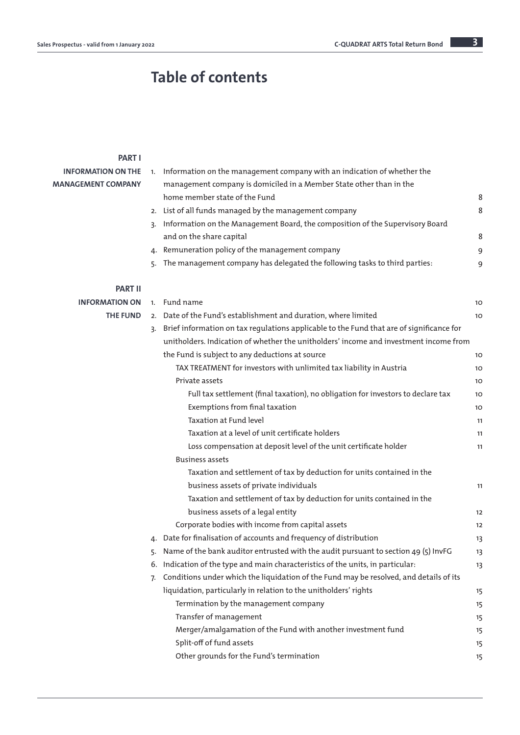# Table of contents

## PART I

| <b>INFORMATION ON THE</b> |    | 1. Information on the management company with an indication of whether the                  |    |
|---------------------------|----|---------------------------------------------------------------------------------------------|----|
| <b>MANAGEMENT COMPANY</b> |    | management company is domiciled in a Member State other than in the                         |    |
|                           |    | home member state of the Fund                                                               | 8  |
|                           |    | 2. List of all funds managed by the management company                                      | 8  |
|                           | 3. | Information on the Management Board, the composition of the Supervisory Board               |    |
|                           |    | and on the share capital                                                                    | 8  |
|                           |    | 4. Remuneration policy of the management company                                            | 9  |
|                           |    | 5. The management company has delegated the following tasks to third parties:               | 9  |
| <b>PART II</b>            |    |                                                                                             |    |
| <b>INFORMATION ON</b>     |    | 1. Fund name                                                                                | 10 |
| <b>THE FUND</b>           |    | 2. Date of the Fund's establishment and duration, where limited                             | 10 |
|                           |    | 3. Brief information on tax regulations applicable to the Fund that are of significance for |    |
|                           |    | unitholders. Indication of whether the unitholders' income and investment income from       |    |
|                           |    | the Fund is subject to any deductions at source                                             | 10 |
|                           |    | TAX TREATMENT for investors with unlimited tax liability in Austria                         | 10 |
|                           |    | Private assets                                                                              | 10 |
|                           |    | Full tax settlement (final taxation), no obligation for investors to declare tax            | 10 |
|                           |    | Exemptions from final taxation                                                              | 10 |
|                           |    | Taxation at Fund level                                                                      | 11 |
|                           |    | Taxation at a level of unit certificate holders                                             | 11 |
|                           |    | Loss compensation at deposit level of the unit certificate holder                           | 11 |
|                           |    | <b>Business assets</b>                                                                      |    |
|                           |    | Taxation and settlement of tax by deduction for units contained in the                      |    |
|                           |    | business assets of private individuals                                                      | 11 |
|                           |    | Taxation and settlement of tax by deduction for units contained in the                      |    |
|                           |    | business assets of a legal entity                                                           | 12 |
|                           |    | Corporate bodies with income from capital assets                                            | 12 |
|                           |    | 4. Date for finalisation of accounts and frequency of distribution                          | 13 |
|                           | 5. | Name of the bank auditor entrusted with the audit pursuant to section 49 (5) InvFG          | 13 |
|                           |    | 6. Indication of the type and main characteristics of the units, in particular:             | 13 |
|                           | 7. | Conditions under which the liquidation of the Fund may be resolved, and details of its      |    |
|                           |    | liquidation, particularly in relation to the unitholders' rights                            | 15 |
|                           |    | Termination by the management company                                                       | 15 |
|                           |    | Transfer of management                                                                      | 15 |
|                           |    | Merger/amalgamation of the Fund with another investment fund                                | 15 |
|                           |    | Split-off of fund assets                                                                    | 15 |
|                           |    | Other grounds for the Fund's termination                                                    | 15 |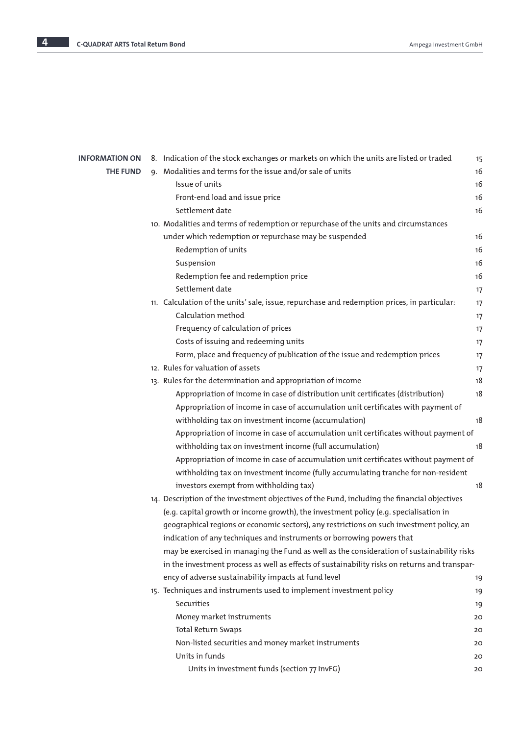| <b>INFORMATION ON</b> | 8. Indication of the stock exchanges or markets on which the units are listed or traded       | 15 |
|-----------------------|-----------------------------------------------------------------------------------------------|----|
| <b>THE FUND</b>       | 9. Modalities and terms for the issue and/or sale of units                                    | 16 |
|                       | Issue of units                                                                                | 16 |
|                       | Front-end load and issue price                                                                | 16 |
|                       | Settlement date                                                                               | 16 |
|                       | 10. Modalities and terms of redemption or repurchase of the units and circumstances           |    |
|                       | under which redemption or repurchase may be suspended                                         | 16 |
|                       | Redemption of units                                                                           | 16 |
|                       | Suspension                                                                                    | 16 |
|                       | Redemption fee and redemption price                                                           | 16 |
|                       | Settlement date                                                                               | 17 |
|                       | 11. Calculation of the units' sale, issue, repurchase and redemption prices, in particular:   | 17 |
|                       | Calculation method                                                                            | 17 |
|                       | Frequency of calculation of prices                                                            | 17 |
|                       | Costs of issuing and redeeming units                                                          | 17 |
|                       | Form, place and frequency of publication of the issue and redemption prices                   | 17 |
|                       | 12. Rules for valuation of assets                                                             | 17 |
|                       | 13. Rules for the determination and appropriation of income                                   | 18 |
|                       | Appropriation of income in case of distribution unit certificates (distribution)              | 18 |
|                       | Appropriation of income in case of accumulation unit certificates with payment of             |    |
|                       | withholding tax on investment income (accumulation)                                           | 18 |
|                       | Appropriation of income in case of accumulation unit certificates without payment of          |    |
|                       | withholding tax on investment income (full accumulation)                                      | 18 |
|                       | Appropriation of income in case of accumulation unit certificates without payment of          |    |
|                       | withholding tax on investment income (fully accumulating tranche for non-resident             |    |
|                       | investors exempt from withholding tax)                                                        | 18 |
|                       | 14. Description of the investment objectives of the Fund, including the financial objectives  |    |
|                       | (e.g. capital growth or income growth), the investment policy (e.g. specialisation in         |    |
|                       | geographical regions or economic sectors), any restrictions on such investment policy, an     |    |
|                       | indication of any techniques and instruments or borrowing powers that                         |    |
|                       | may be exercised in managing the Fund as well as the consideration of sustainability risks    |    |
|                       | in the investment process as well as effects of sustainability risks on returns and transpar- |    |
|                       | ency of adverse sustainability impacts at fund level                                          | 19 |
|                       | 15. Techniques and instruments used to implement investment policy                            | 19 |
|                       | Securities                                                                                    | 19 |
|                       | Money market instruments                                                                      | 20 |
|                       | <b>Total Return Swaps</b>                                                                     | 20 |
|                       | Non-listed securities and money market instruments                                            | 20 |
|                       | Units in funds                                                                                | 20 |
|                       | Units in investment funds (section 77 InvFG)                                                  | 20 |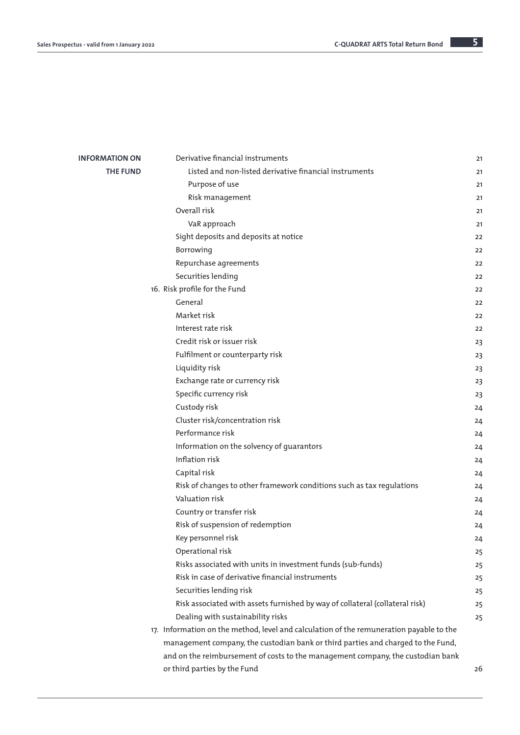| <b>INFORMATION ON</b> | Derivative financial instruments                                                        | 21 |
|-----------------------|-----------------------------------------------------------------------------------------|----|
| <b>THE FUND</b>       | Listed and non-listed derivative financial instruments                                  | 21 |
|                       | Purpose of use                                                                          | 21 |
|                       | Risk management                                                                         | 21 |
|                       | Overall risk                                                                            | 21 |
|                       | VaR approach                                                                            | 21 |
|                       | Sight deposits and deposits at notice                                                   | 22 |
|                       | Borrowing                                                                               | 22 |
|                       | Repurchase agreements                                                                   | 22 |
|                       | Securities lending                                                                      | 22 |
|                       | 16. Risk profile for the Fund                                                           | 22 |
|                       | General                                                                                 | 22 |
|                       | Market risk                                                                             | 22 |
|                       | Interest rate risk                                                                      | 22 |
|                       | Credit risk or issuer risk                                                              | 23 |
|                       | Fulfilment or counterparty risk                                                         | 23 |
|                       | Liquidity risk                                                                          | 23 |
|                       | Exchange rate or currency risk                                                          | 23 |
|                       | Specific currency risk                                                                  | 23 |
|                       | Custody risk                                                                            | 24 |
|                       | Cluster risk/concentration risk                                                         | 24 |
|                       | Performance risk                                                                        | 24 |
|                       | Information on the solvency of guarantors                                               | 24 |
|                       | Inflation risk                                                                          | 24 |
|                       | Capital risk                                                                            | 24 |
|                       | Risk of changes to other framework conditions such as tax regulations                   | 24 |
|                       | Valuation risk                                                                          | 24 |
|                       | Country or transfer risk                                                                | 24 |
|                       | Risk of suspension of redemption                                                        | 24 |
|                       | Key personnel risk                                                                      | 24 |
|                       | Operational risk                                                                        | 25 |
|                       | Risks associated with units in investment funds (sub-funds)                             | 25 |
|                       | Risk in case of derivative financial instruments                                        | 25 |
|                       | Securities lending risk                                                                 | 25 |
|                       | Risk associated with assets furnished by way of collateral (collateral risk)            | 25 |
|                       | Dealing with sustainability risks                                                       | 25 |
|                       | 17. Information on the method, level and calculation of the remuneration payable to the |    |
|                       | management company, the custodian bank or third parties and charged to the Fund,        |    |
|                       | and on the reimbursement of costs to the management company, the custodian bank         |    |
|                       | or third parties by the Fund                                                            | 26 |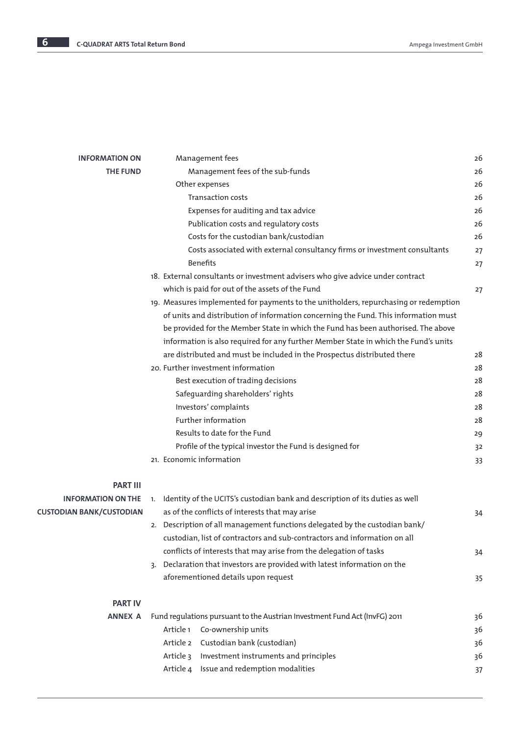| <b>INFORMATION ON</b>           | Management fees                                                                      | 26 |
|---------------------------------|--------------------------------------------------------------------------------------|----|
| <b>THE FUND</b>                 | Management fees of the sub-funds                                                     | 26 |
|                                 | Other expenses                                                                       | 26 |
|                                 | <b>Transaction costs</b>                                                             | 26 |
|                                 | Expenses for auditing and tax advice                                                 | 26 |
|                                 | Publication costs and regulatory costs                                               | 26 |
|                                 | Costs for the custodian bank/custodian                                               | 26 |
|                                 | Costs associated with external consultancy firms or investment consultants           | 27 |
|                                 | <b>Benefits</b>                                                                      | 27 |
|                                 | 18. External consultants or investment advisers who give advice under contract       |    |
|                                 | which is paid for out of the assets of the Fund                                      | 27 |
|                                 | 19. Measures implemented for payments to the unitholders, repurchasing or redemption |    |
|                                 | of units and distribution of information concerning the Fund. This information must  |    |
|                                 | be provided for the Member State in which the Fund has been authorised. The above    |    |
|                                 | information is also required for any further Member State in which the Fund's units  |    |
|                                 | are distributed and must be included in the Prospectus distributed there             | 28 |
|                                 | 20. Further investment information                                                   | 28 |
|                                 | Best execution of trading decisions                                                  | 28 |
|                                 | Safeguarding shareholders' rights                                                    | 28 |
|                                 | Investors' complaints                                                                | 28 |
|                                 | Further information                                                                  | 28 |
|                                 | Results to date for the Fund                                                         | 29 |
|                                 | Profile of the typical investor the Fund is designed for                             | 32 |
|                                 | 21. Economic information                                                             | 33 |
| <b>PART III</b>                 |                                                                                      |    |
| <b>INFORMATION ON THE</b>       | Identity of the UCITS's custodian bank and description of its duties as well<br>1.   |    |
| <b>CUSTODIAN BANK/CUSTODIAN</b> | as of the conflicts of interests that may arise                                      | 34 |
|                                 | 2. Description of all management functions delegated by the custodian bank/          |    |
|                                 | custodian, list of contractors and sub-contractors and information on all            |    |
|                                 | conflicts of interests that may arise from the delegation of tasks                   | 34 |
|                                 | 3. Declaration that investors are provided with latest information on the            |    |
|                                 | aforementioned details upon request                                                  | 35 |
| <b>PART IV</b>                  |                                                                                      |    |
| <b>ANNEX A</b>                  | Fund regulations pursuant to the Austrian Investment Fund Act (InvFG) 2011           | 36 |
|                                 | Co-ownership units<br>Article 1                                                      | 36 |
|                                 | Custodian bank (custodian)<br>Article 2                                              | 36 |
|                                 | Investment instruments and principles<br>Article 3                                   | 36 |
|                                 | Article 4 Issue and redemption modalities                                            | 37 |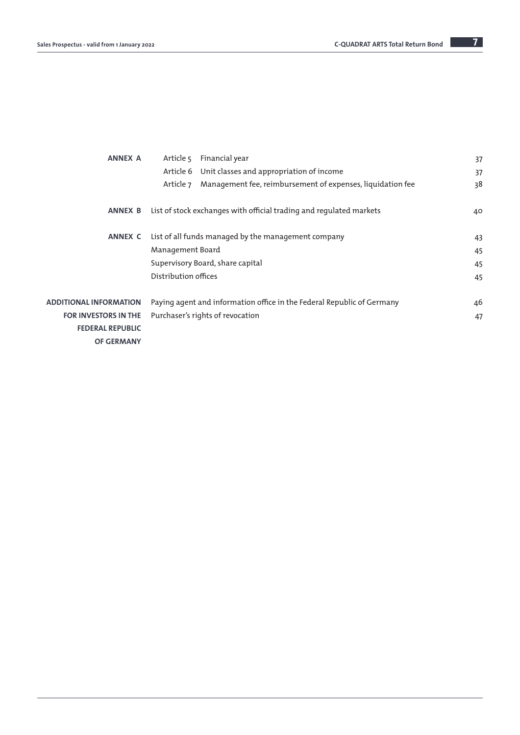| <b>ANNEX A</b>                | Article 5            | Financial year                                                         | 37 |
|-------------------------------|----------------------|------------------------------------------------------------------------|----|
|                               | Article 6            | Unit classes and appropriation of income                               | 37 |
|                               | Article 7            | Management fee, reimbursement of expenses, liquidation fee             | 38 |
| <b>ANNEX B</b>                |                      | List of stock exchanges with official trading and regulated markets    | 40 |
| <b>ANNEX C</b>                |                      | List of all funds managed by the management company                    | 43 |
|                               | Management Board     |                                                                        | 45 |
|                               |                      | Supervisory Board, share capital                                       | 45 |
|                               | Distribution offices |                                                                        | 45 |
| <b>ADDITIONAL INFORMATION</b> |                      | Paying agent and information office in the Federal Republic of Germany | 46 |
| <b>FOR INVESTORS IN THE</b>   |                      | Purchaser's rights of revocation                                       | 47 |
| <b>FEDERAL REPUBLIC</b>       |                      |                                                                        |    |
| <b>OF GERMANY</b>             |                      |                                                                        |    |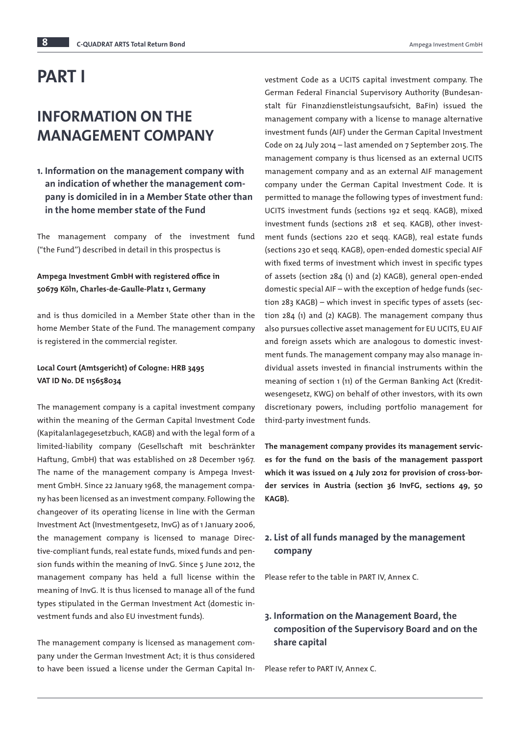# PART I

# INFORMATION ON THE MANAGEMENT COMPANY

1. Information on the management company with an indication of whether the management company is domiciled in in a Member State other than in the home member state of the Fund

The management company of the investment fund ("the Fund'') described in detail in this prospectus is

## Ampega Investment GmbH with registered office in 50679 Köln, Charles-de-Gaulle-Platz 1, Germany

and is thus domiciled in a Member State other than in the home Member State of the Fund. The management company is registered in the commercial register.

## Local Court (Amtsgericht) of Cologne: HRB 3495 VAT ID No. DE 115658034

The management company is a capital investment company within the meaning of the German Capital Investment Code (Kapitalanlagegesetzbuch, KAGB) and with the legal form of a limited-liability company (Gesellschaft mit beschränkter Haftung, GmbH) that was established on 28 December 1967. The name of the management company is Ampega Investment GmbH. Since 22 January 1968, the management company has been licensed as an investment company. Following the changeover of its operating license in line with the German Investment Act (Investmentgesetz, InvG) as of 1 January 2006, the management company is licensed to manage Directive-compliant funds, real estate funds, mixed funds and pension funds within the meaning of InvG. Since 5 June 2012, the management company has held a full license within the meaning of InvG. It is thus licensed to manage all of the fund types stipulated in the German Investment Act (domestic investment funds and also EU investment funds).

The management company is licensed as management company under the German Investment Act; it is thus considered to have been issued a license under the German Capital Investment Code as a UCITS capital investment company. The German Federal Financial Supervisory Authority (Bundesanstalt für Finanzdienstleistungsaufsicht, BaFin) issued the management company with a license to manage alternative investment funds (AIF) under the German Capital Investment Code on 24 July 2014 – last amended on 7 September 2015. The management company is thus licensed as an external UCITS management company and as an external AIF management company under the German Capital Investment Code. It is permitted to manage the following types of investment fund: UCITS investment funds (sections 192 et seqq. KAGB), mixed investment funds (sections 218 et seq. KAGB), other investment funds (sections 220 et seqq. KAGB), real estate funds (sections 230 et seqq. KAGB), open-ended domestic special AIF with fixed terms of investment which invest in specific types of assets (section 284 (1) and (2) KAGB), general open-ended domestic special AIF – with the exception of hedge funds (section 283 KAGB) – which invest in specific types of assets (section 284 (1) and (2) KAGB). The management company thus also pursues collective asset management for EU UCITS, EU AIF and foreign assets which are analogous to domestic investment funds. The management company may also manage individual assets invested in financial instruments within the meaning of section 1 (11) of the German Banking Act (Kreditwesengesetz, KWG) on behalf of other investors, with its own discretionary powers, including portfolio management for third-party investment funds.

The management company provides its management services for the fund on the basis of the management passport which it was issued on 4 July 2012 for provision of cross-border services in Austria (section 36 InvFG, sections 49, 50 KAGB).

## 2. List of all funds managed by the management company

Please refer to the table in PART IV, Annex C.

## 3. Information on the Management Board, the composition of the Supervisory Board and on the share capital

Please refer to PART IV, Annex C.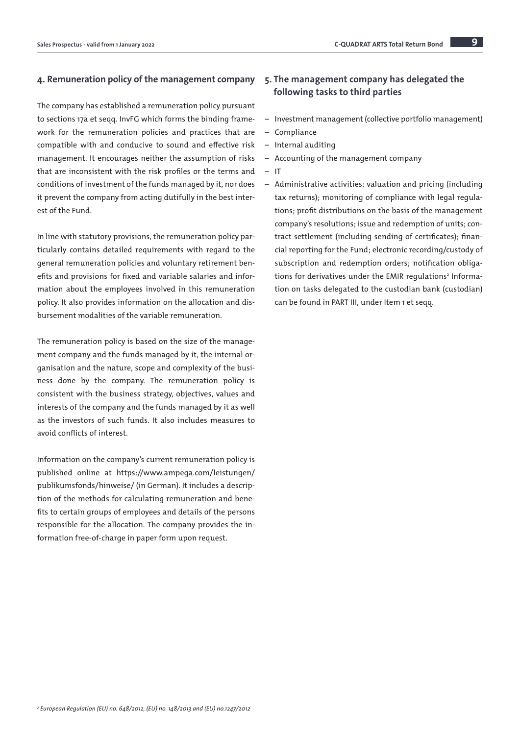## 4. Remuneration policy of the management company

The company has established a remuneration policy pursuant to sections 17a et seqq. InvFG which forms the binding framework for the remuneration policies and practices that are compatible with and conducive to sound and effective risk management. It encourages neither the assumption of risks that are inconsistent with the risk profiles or the terms and conditions of investment of the funds managed by it, nor does it prevent the company from acting dutifully in the best interest of the Fund.

In line with statutory provisions, the remuneration policy particularly contains detailed requirements with regard to the general remuneration policies and voluntary retirement benefits and provisions for fixed and variable salaries and information about the employees involved in this remuneration policy. It also provides information on the allocation and disbursement modalities of the variable remuneration.

The remuneration policy is based on the size of the management company and the funds managed by it, the internal organisation and the nature, scope and complexity of the business done by the company. The remuneration policy is consistent with the business strategy, objectives, values and interests of the company and the funds managed by it as well as the investors of such funds. It also includes measures to avoid conflicts of interest.

Information on the company's current remuneration policy is published online at [https://www.ampega.com/leistungen/](https://www.ampega.com/leistungen/publikumsfonds/hinweise/) [publikumsfonds/hinweise/](https://www.ampega.com/leistungen/publikumsfonds/hinweise/) (in German). It includes a description of the methods for calculating remuneration and benefits to certain groups of employees and details of the persons responsible for the allocation. The company provides the information free-of-charge in paper form upon request.

## 5. The management company has delegated the following tasks to third parties

- Investment management (collective portfolio management)
- Compliance
- Internal auditing
- Accounting of the management company
- IT
- Administrative activities: valuation and pricing (including tax returns); monitoring of compliance with legal regulations; profit distributions on the basis of the management company's resolutions; issue and redemption of units; contract settlement (including sending of certificates); financial reporting for the Fund; electronic recording/custody of subscription and redemption orders; notification obligations for derivatives under the EMIR regulations<sup>2</sup> Information on tasks delegated to the custodian bank (custodian) can be found in PART III, under Item 1 et seqq.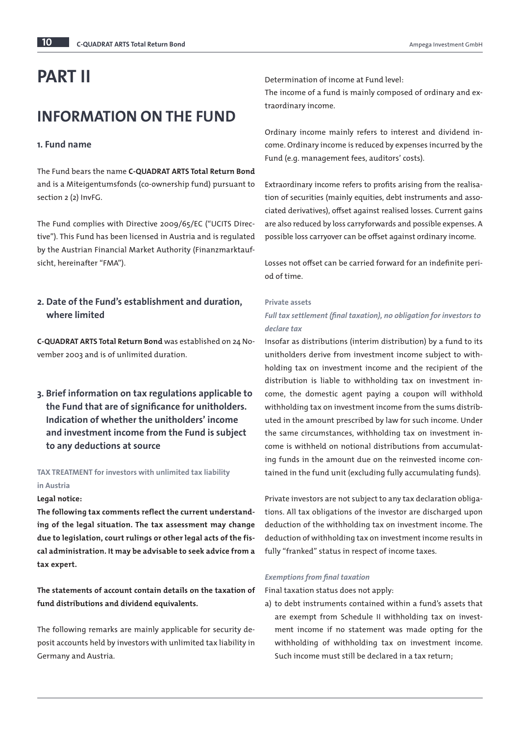# PART II

## INFORMATION ON THE FUND

## 1. Fund name

The Fund bears the name C-QUADRAT ARTS Total Return Bond and is a Miteigentumsfonds (co-ownership fund) pursuant to section 2 (2) InvFG.

The Fund complies with Directive 2009/65/EC ("UCITS Directive"). This Fund has been licensed in Austria and is regulated by the Austrian Financial Market Authority (Finanzmarktaufsicht, hereinafter "FMA").

## 2. Date of the Fund's establishment and duration, where limited

C-QUADRAT ARTS Total Return Bond was established on 24 November 2003 and is of unlimited duration.

3. Brief information on tax regulations applicable to the Fund that are of significance for unitholders. Indication of whether the unitholders' income and investment income from the Fund is subject to any deductions at source

## TAX TREATMENT for investors with unlimited tax liability in Austria

#### Legal notice:

The following tax comments reflect the current understanding of the legal situation. The tax assessment may change due to legislation, court rulings or other legal acts of the fiscal administration. It may be advisable to seek advice from a tax expert.

The statements of account contain details on the taxation of fund distributions and dividend equivalents.

The following remarks are mainly applicable for security deposit accounts held by investors with unlimited tax liability in Germany and Austria.

Determination of income at Fund level:

The income of a fund is mainly composed of ordinary and extraordinary income.

Ordinary income mainly refers to interest and dividend income. Ordinary income is reduced by expenses incurred by the Fund (e.g. management fees, auditors' costs).

Extraordinary income refers to profits arising from the realisation of securities (mainly equities, debt instruments and associated derivatives), offset against realised losses. Current gains are also reduced by loss carryforwards and possible expenses. A possible loss carryover can be offset against ordinary income.

Losses not offset can be carried forward for an indefinite period of time.

## Private assets

## *Full tax settlement (final taxation), no obligation for investors to declare tax*

Insofar as distributions (interim distribution) by a fund to its unitholders derive from investment income subject to withholding tax on investment income and the recipient of the distribution is liable to withholding tax on investment income, the domestic agent paying a coupon will withhold withholding tax on investment income from the sums distributed in the amount prescribed by law for such income. Under the same circumstances, withholding tax on investment income is withheld on notional distributions from accumulating funds in the amount due on the reinvested income contained in the fund unit (excluding fully accumulating funds).

Private investors are not subject to any tax declaration obligations. All tax obligations of the investor are discharged upon deduction of the withholding tax on investment income. The deduction of withholding tax on investment income results in fully "franked" status in respect of income taxes.

#### *Exemptions from final taxation*

Final taxation status does not apply:

a) to debt instruments contained within a fund's assets that are exempt from Schedule II withholding tax on investment income if no statement was made opting for the withholding of withholding tax on investment income. Such income must still be declared in a tax return;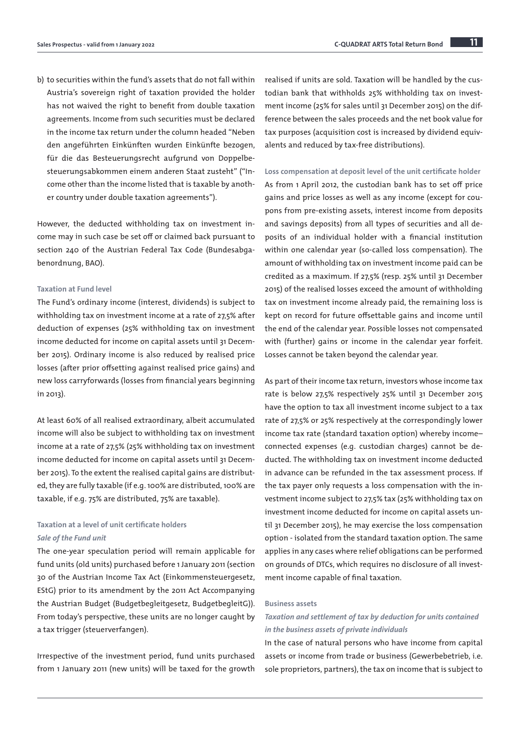b) to securities within the fund's assets that do not fall within Austria's sovereign right of taxation provided the holder has not waived the right to benefit from double taxation agreements. Income from such securities must be declared in the income tax return under the column headed "Neben den angeführten Einkünften wurden Einkünfte bezogen, für die das Besteuerungsrecht aufgrund von Doppelbesteuerungsabkommen einem anderen Staat zusteht" ("Income other than the income listed that is taxable by another country under double taxation agreements").

However, the deducted withholding tax on investment income may in such case be set off or claimed back pursuant to section 240 of the Austrian Federal Tax Code (Bundesabgabenordnung, BAO).

#### Taxation at Fund level

The Fund's ordinary income (interest, dividends) is subject to withholding tax on investment income at a rate of 27,5% after deduction of expenses (25% withholding tax on investment income deducted for income on capital assets until 31 December 2015). Ordinary income is also reduced by realised price losses (after prior offsetting against realised price gains) and new loss carryforwards (losses from financial years beginning in 2013).

At least 60% of all realised extraordinary, albeit accumulated income will also be subject to withholding tax on investment income at a rate of 27,5% (25% withholding tax on investment income deducted for income on capital assets until 31 December 2015). To the extent the realised capital gains are distributed, they are fully taxable (if e.g. 100% are distributed, 100% are taxable, if e.g. 75% are distributed, 75% are taxable).

## Taxation at a level of unit certificate holders *Sale of the Fund unit*

The one-year speculation period will remain applicable for fund units (old units) purchased before 1 January 2011 (section 30 of the Austrian Income Tax Act (Einkommensteuergesetz, EStG) prior to its amendment by the 2011 Act Accompanying the Austrian Budget (Budgetbegleitgesetz, BudgetbegleitG)). From today's perspective, these units are no longer caught by a tax trigger (steuerverfangen).

Irrespective of the investment period, fund units purchased from 1 January 2011 (new units) will be taxed for the growth realised if units are sold. Taxation will be handled by the custodian bank that withholds 25% withholding tax on investment income (25% for sales until 31 December 2015) on the difference between the sales proceeds and the net book value for tax purposes (acquisition cost is increased by dividend equivalents and reduced by tax-free distributions).

Loss compensation at deposit level of the unit certificate holder As from 1 April 2012, the custodian bank has to set off price gains and price losses as well as any income (except for coupons from pre-existing assets, interest income from deposits and savings deposits) from all types of securities and all deposits of an individual holder with a financial institution within one calendar year (so-called loss compensation). The amount of withholding tax on investment income paid can be credited as a maximum. If 27,5% (resp. 25% until 31 December 2015) of the realised losses exceed the amount of withholding tax on investment income already paid, the remaining loss is kept on record for future offsettable gains and income until the end of the calendar year. Possible losses not compensated with (further) gains or income in the calendar year forfeit. Losses cannot be taken beyond the calendar year.

As part of their income tax return, investors whose income tax rate is below 27,5% respectively 25% until 31 December 2015 have the option to tax all investment income subject to a tax rate of 27,5% or 25% respectively at the correspondingly lower income tax rate (standard taxation option) whereby income– connected expenses (e.g. custodian charges) cannot be deducted. The withholding tax on investment income deducted in advance can be refunded in the tax assessment process. If the tax payer only requests a loss compensation with the investment income subject to 27,5% tax (25% withholding tax on investment income deducted for income on capital assets until 31 December 2015), he may exercise the loss compensation option - isolated from the standard taxation option. The same applies in any cases where relief obligations can be performed on grounds of DTCs, which requires no disclosure of all investment income capable of final taxation.

#### Business assets

## *Taxation and settlement of tax by deduction for units contained in the business assets of private individuals*

In the case of natural persons who have income from capital assets or income from trade or business (Gewerbebetrieb, i.e. sole proprietors, partners), the tax on income that is subject to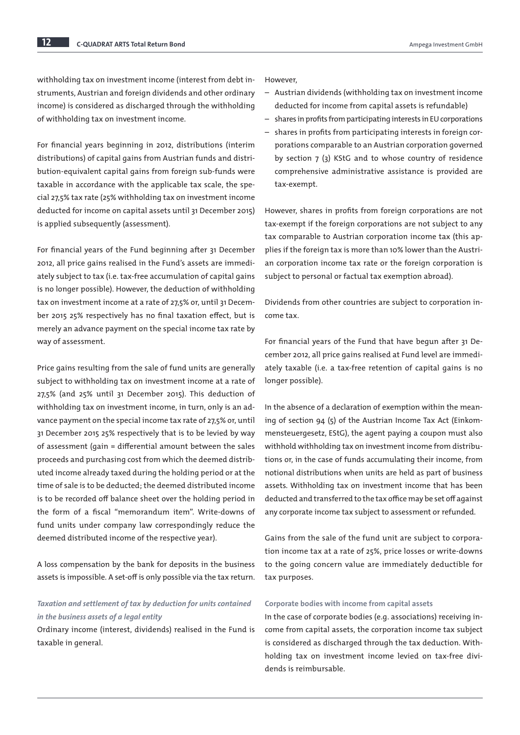withholding tax on investment income (interest from debt instruments, Austrian and foreign dividends and other ordinary income) is considered as discharged through the withholding of withholding tax on investment income.

For financial years beginning in 2012, distributions (interim distributions) of capital gains from Austrian funds and distribution-equivalent capital gains from foreign sub-funds were taxable in accordance with the applicable tax scale, the special 27,5% tax rate (25% withholding tax on investment income deducted for income on capital assets until 31 December 2015) is applied subsequently (assessment).

For financial years of the Fund beginning after 31 December 2012, all price gains realised in the Fund's assets are immediately subject to tax (i.e. tax-free accumulation of capital gains is no longer possible). However, the deduction of withholding tax on investment income at a rate of 27,5% or, until 31 December 2015 25% respectively has no final taxation effect, but is merely an advance payment on the special income tax rate by way of assessment.

Price gains resulting from the sale of fund units are generally subject to withholding tax on investment income at a rate of 27,5% (and 25% until 31 December 2015). This deduction of withholding tax on investment income, in turn, only is an advance payment on the special income tax rate of 27,5% or, until 31 December 2015 25% respectively that is to be levied by way of assessment (gain = differential amount between the sales proceeds and purchasing cost from which the deemed distributed income already taxed during the holding period or at the time of sale is to be deducted; the deemed distributed income is to be recorded off balance sheet over the holding period in the form of a fiscal "memorandum item". Write-downs of fund units under company law correspondingly reduce the deemed distributed income of the respective year).

A loss compensation by the bank for deposits in the business assets is impossible. A set-off is only possible via the tax return.

## *Taxation and settlement of tax by deduction for units contained in the business assets of a legal entity*

Ordinary income (interest, dividends) realised in the Fund is taxable in general.

However,

- Austrian dividends (withholding tax on investment income deducted for income from capital assets is refundable)
- shares in profits from participating interests in EU corporations
- shares in profits from participating interests in foreign corporations comparable to an Austrian corporation governed by section 7 (3) KStG and to whose country of residence comprehensive administrative assistance is provided are tax-exempt.

However, shares in profits from foreign corporations are not tax-exempt if the foreign corporations are not subject to any tax comparable to Austrian corporation income tax (this applies if the foreign tax is more than 10% lower than the Austrian corporation income tax rate or the foreign corporation is subject to personal or factual tax exemption abroad).

Dividends from other countries are subject to corporation income tax.

For financial years of the Fund that have begun after 31 December 2012, all price gains realised at Fund level are immediately taxable (i.e. a tax-free retention of capital gains is no longer possible).

In the absence of a declaration of exemption within the meaning of section 94 (5) of the Austrian Income Tax Act (Einkommensteuergesetz, EStG), the agent paying a coupon must also withhold withholding tax on investment income from distributions or, in the case of funds accumulating their income, from notional distributions when units are held as part of business assets. Withholding tax on investment income that has been deducted and transferred to the tax office may be set off against any corporate income tax subject to assessment or refunded.

Gains from the sale of the fund unit are subject to corporation income tax at a rate of 25%, price losses or write-downs to the going concern value are immediately deductible for tax purposes.

#### Corporate bodies with income from capital assets

In the case of corporate bodies (e.g. associations) receiving income from capital assets, the corporation income tax subject is considered as discharged through the tax deduction. Withholding tax on investment income levied on tax-free dividends is reimbursable.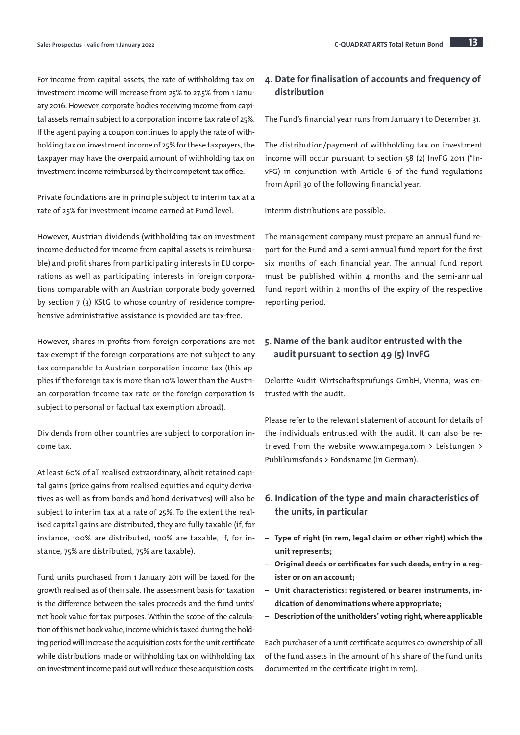For income from capital assets, the rate of withholding tax on investment income will increase from 25% to 27.5% from 1 January 2016. However, corporate bodies receiving income from capital assets remain subject to a corporation income tax rate of 25%. If the agent paying a coupon continues to apply the rate of withholding tax on investment income of 25% for these taxpayers, the taxpayer may have the overpaid amount of withholding tax on investment income reimbursed by their competent tax office.

Private foundations are in principle subject to interim tax at a rate of 25% for investment income earned at Fund level.

However, Austrian dividends (withholding tax on investment income deducted for income from capital assets is reimbursable) and profit shares from participating interests in EU corporations as well as participating interests in foreign corporations comparable with an Austrian corporate body governed by section 7 (3) KStG to whose country of residence comprehensive administrative assistance is provided are tax-free.

However, shares in profits from foreign corporations are not tax-exempt if the foreign corporations are not subject to any tax comparable to Austrian corporation income tax (this applies if the foreign tax is more than 10% lower than the Austrian corporation income tax rate or the foreign corporation is subject to personal or factual tax exemption abroad).

Dividends from other countries are subject to corporation income tax.

At least 60% of all realised extraordinary, albeit retained capital gains (price gains from realised equities and equity derivatives as well as from bonds and bond derivatives) will also be subject to interim tax at a rate of 25%. To the extent the realised capital gains are distributed, they are fully taxable (if, for instance, 100% are distributed, 100% are taxable, if, for instance, 75% are distributed, 75% are taxable).

Fund units purchased from 1 January 2011 will be taxed for the growth realised as of their sale. The assessment basis for taxation is the difference between the sales proceeds and the fund units' net book value for tax purposes. Within the scope of the calculation of this net book value, income which is taxed during the holding period will increase the acquisition costs for the unit certificate while distributions made or withholding tax on withholding tax on investment income paid out will reduce these acquisition costs.

## 4. Date for finalisation of accounts and frequency of distribution

The Fund's financial year runs from January 1 to December 31.

The distribution/payment of withholding tax on investment income will occur pursuant to section 58 (2) InvFG 2011 ("InvFG) in conjunction with Article 6 of the fund regulations from April 30 of the following financial year.

Interim distributions are possible.

The management company must prepare an annual fund report for the Fund and a semi-annual fund report for the first six months of each financial year. The annual fund report must be published within 4 months and the semi-annual fund report within 2 months of the expiry of the respective reporting period.

## 5. Name of the bank auditor entrusted with the audit pursuant to section 49 (5) InvFG

Deloitte Audit Wirtschaftsprüfungs GmbH, Vienna, was entrusted with the audit.

Please refer to the relevant statement of account for details of the individuals entrusted with the audit. It can also be retrieved from the website www.ampega.com > Leistungen > Publikumsfonds > Fondsname (in German).

## 6. Indication of the type and main characteristics of the units, in particular

- Type of right (in rem, legal claim or other right) which the unit represents;
- Original deeds or certificates for such deeds, entry in a register or on an account;
- Unit characteristics: registered or bearer instruments, indication of denominations where appropriate;
- Description of the unitholders' voting right, where applicable

Each purchaser of a unit certificate acquires co-ownership of all of the fund assets in the amount of his share of the fund units documented in the certificate (right in rem).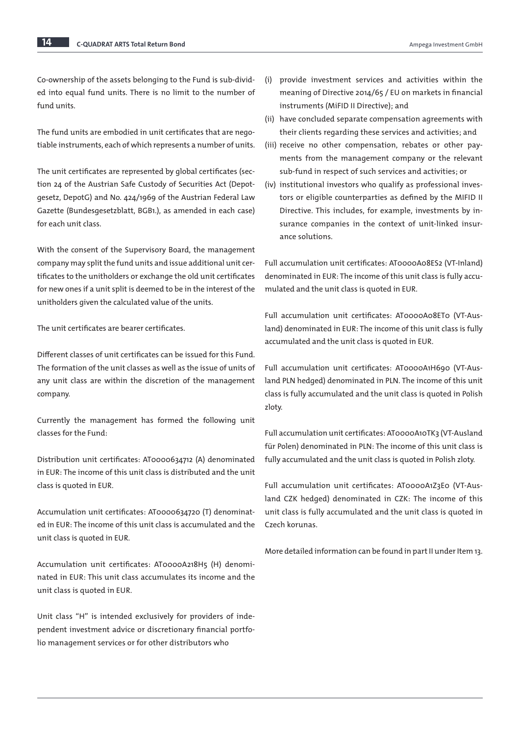Co-ownership of the assets belonging to the Fund is sub-divided into equal fund units. There is no limit to the number of fund units.

The fund units are embodied in unit certificates that are negotiable instruments, each of which represents a number of units.

The unit certificates are represented by global certificates (section 24 of the Austrian Safe Custody of Securities Act (Depotgesetz, DepotG) and No. 424/1969 of the Austrian Federal Law Gazette (Bundesgesetzblatt, BGB1.), as amended in each case) for each unit class.

With the consent of the Supervisory Board, the management company may split the fund units and issue additional unit certificates to the unitholders or exchange the old unit certificates for new ones if a unit split is deemed to be in the interest of the unitholders given the calculated value of the units.

The unit certificates are bearer certificates.

Different classes of unit certificates can be issued for this Fund. The formation of the unit classes as well as the issue of units of any unit class are within the discretion of the management company.

Currently the management has formed the following unit classes for the Fund:

Distribution unit certificates: AT0000634712 (A) denominated in EUR: The income of this unit class is distributed and the unit class is quoted in EUR.

Accumulation unit certificates: AT0000634720 (T) denominated in EUR: The income of this unit class is accumulated and the unit class is quoted in EUR.

Accumulation unit certificates: AT0000A218H5 (H) denominated in EUR: This unit class accumulates its income and the unit class is quoted in EUR.

Unit class "H" is intended exclusively for providers of independent investment advice or discretionary financial portfolio management services or for other distributors who

- (i) provide investment services and activities within the meaning of Directive 2014/65 / EU on markets in financial instruments (MiFID II Directive); and
- (ii) have concluded separate compensation agreements with their clients regarding these services and activities; and
- (iii) receive no other compensation, rebates or other payments from the management company or the relevant sub-fund in respect of such services and activities; or
- (iv) institutional investors who qualify as professional investors or eligible counterparties as defined by the MIFID II Directive. This includes, for example, investments by insurance companies in the context of unit-linked insurance solutions.

Full accumulation unit certificates: AT0000A08ES2 (VT-Inland) denominated in EUR: The income of this unit class is fully accumulated and the unit class is quoted in EUR.

Full accumulation unit certificates: AT0000A08ET0 (VT-Ausland) denominated in EUR: The income of this unit class is fully accumulated and the unit class is quoted in EUR.

Full accumulation unit certificates: AT0000A1H690 (VT-Ausland PLN hedged) denominated in PLN. The income of this unit class is fully accumulated and the unit class is quoted in Polish zloty.

Full accumulation unit certificates: AT0000A10TK3 (VT-Ausland für Polen) denominated in PLN: The income of this unit class is fully accumulated and the unit class is quoted in Polish zloty.

Full accumulation unit certificates: AT0000A1Z3E0 (VT-Ausland CZK hedged) denominated in CZK: The income of this unit class is fully accumulated and the unit class is quoted in Czech korunas.

More detailed information can be found in part II under Item 13.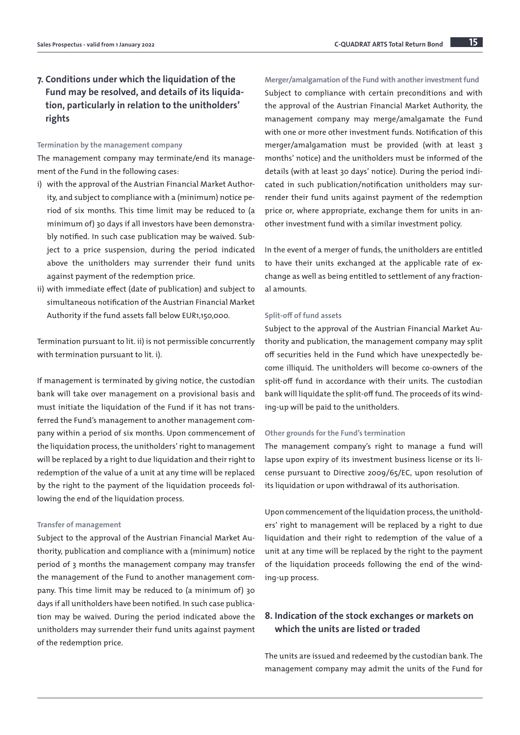#### Termination by the management company

The management company may terminate/end its management of the Fund in the following cases:

- i) with the approval of the Austrian Financial Market Authority, and subject to compliance with a (minimum) notice period of six months. This time limit may be reduced to (a minimum of) 30 days if all investors have been demonstrably notified. In such case publication may be waived. Subject to a price suspension, during the period indicated above the unitholders may surrender their fund units against payment of the redemption price.
- ii) with immediate effect (date of publication) and subject to simultaneous notification of the Austrian Financial Market Authority if the fund assets fall below EUR1,150,000.

Termination pursuant to lit. ii) is not permissible concurrently with termination pursuant to lit. i).

If management is terminated by giving notice, the custodian bank will take over management on a provisional basis and must initiate the liquidation of the Fund if it has not transferred the Fund's management to another management company within a period of six months. Upon commencement of the liquidation process, the unitholders' right to management will be replaced by a right to due liquidation and their right to redemption of the value of a unit at any time will be replaced by the right to the payment of the liquidation proceeds following the end of the liquidation process.

#### Transfer of management

Subject to the approval of the Austrian Financial Market Authority, publication and compliance with a (minimum) notice period of 3 months the management company may transfer the management of the Fund to another management company. This time limit may be reduced to (a minimum of) 30 days if all unitholders have been notified. In such case publication may be waived. During the period indicated above the unitholders may surrender their fund units against payment of the redemption price.

Merger/amalgamation of the Fund with another investment fund Subject to compliance with certain preconditions and with the approval of the Austrian Financial Market Authority, the management company may merge/amalgamate the Fund with one or more other investment funds. Notification of this merger/amalgamation must be provided (with at least 3 months' notice) and the unitholders must be informed of the details (with at least 30 days' notice). During the period indicated in such publication/notification unitholders may surrender their fund units against payment of the redemption price or, where appropriate, exchange them for units in another investment fund with a similar investment policy.

In the event of a merger of funds, the unitholders are entitled to have their units exchanged at the applicable rate of exchange as well as being entitled to settlement of any fractional amounts.

#### Split-off of fund assets

Subject to the approval of the Austrian Financial Market Authority and publication, the management company may split off securities held in the Fund which have unexpectedly become illiquid. The unitholders will become co-owners of the split-off fund in accordance with their units. The custodian bank will liquidate the split-off fund. The proceeds of its winding-up will be paid to the unitholders.

#### Other grounds for the Fund's termination

The management company's right to manage a fund will lapse upon expiry of its investment business license or its license pursuant to Directive 2009/65/EC, upon resolution of its liquidation or upon withdrawal of its authorisation.

Upon commencement of the liquidation process, the unitholders' right to management will be replaced by a right to due liquidation and their right to redemption of the value of a unit at any time will be replaced by the right to the payment of the liquidation proceeds following the end of the winding-up process.

## 8. Indication of the stock exchanges or markets on which the units are listed or traded

The units are issued and redeemed by the custodian bank. The management company may admit the units of the Fund for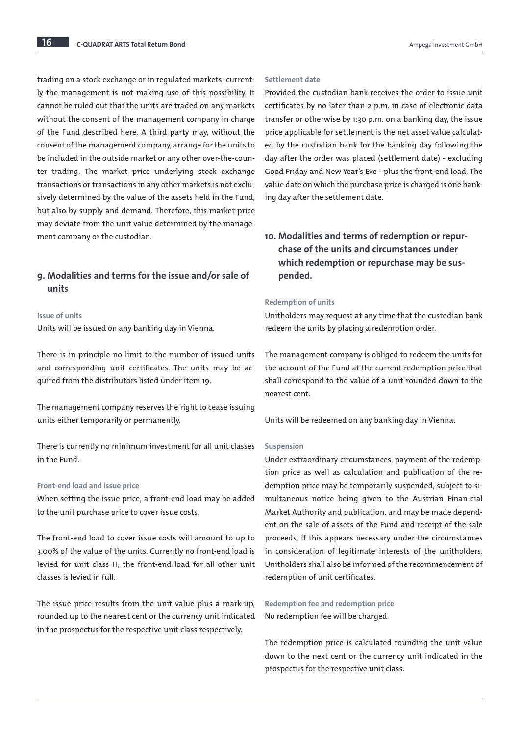trading on a stock exchange or in regulated markets; currently the management is not making use of this possibility. It cannot be ruled out that the units are traded on any markets without the consent of the management company in charge of the Fund described here. A third party may, without the consent of the management company, arrange for the units to be included in the outside market or any other over-the-counter trading. The market price underlying stock exchange transactions or transactions in any other markets is not exclusively determined by the value of the assets held in the Fund, but also by supply and demand. Therefore, this market price may deviate from the unit value determined by the management company or the custodian.

## 9. Modalities and terms for the issue and/or sale of units

#### Issue of units

Units will be issued on any banking day in Vienna.

There is in principle no limit to the number of issued units and corresponding unit certificates. The units may be acquired from the distributors listed under item 19.

The management company reserves the right to cease issuing units either temporarily or permanently.

There is currently no minimum investment for all unit classes in the Fund.

## Front-end load and issue price

When setting the issue price, a front-end load may be added to the unit purchase price to cover issue costs.

The front-end load to cover issue costs will amount to up to 3.00% of the value of the units. Currently no front-end load is levied for unit class H, the front-end load for all other unit classes is levied in full.

The issue price results from the unit value plus a mark-up, rounded up to the nearest cent or the currency unit indicated in the prospectus for the respective unit class respectively.

#### Settlement date

Provided the custodian bank receives the order to issue unit certificates by no later than 2 p.m. in case of electronic data transfer or otherwise by 1:30 p.m. on a banking day, the issue price applicable for settlement is the net asset value calculated by the custodian bank for the banking day following the day after the order was placed (settlement date) - excluding Good Friday and New Year's Eve - plus the front-end load. The value date on which the purchase price is charged is one banking day after the settlement date.

## 10. Modalities and terms of redemption or repurchase of the units and circumstances under which redemption or repurchase may be suspended.

#### Redemption of units

Unitholders may request at any time that the custodian bank redeem the units by placing a redemption order.

The management company is obliged to redeem the units for the account of the Fund at the current redemption price that shall correspond to the value of a unit rounded down to the nearest cent.

Units will be redeemed on any banking day in Vienna.

## Suspension

Under extraordinary circumstances, payment of the redemption price as well as calculation and publication of the redemption price may be temporarily suspended, subject to simultaneous notice being given to the Austrian Finan-cial Market Authority and publication, and may be made dependent on the sale of assets of the Fund and receipt of the sale proceeds, if this appears necessary under the circumstances in consideration of legitimate interests of the unitholders. Unitholders shall also be informed of the recommencement of redemption of unit certificates.

Redemption fee and redemption price No redemption fee will be charged.

The redemption price is calculated rounding the unit value down to the next cent or the currency unit indicated in the prospectus for the respective unit class.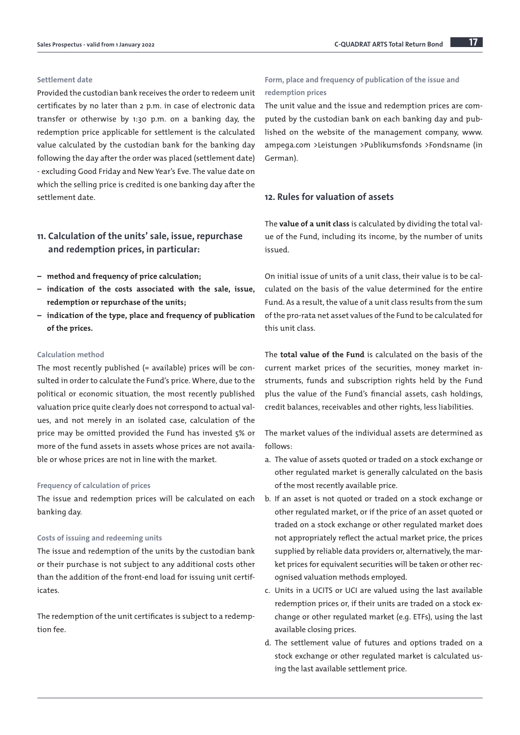#### Settlement date

Provided the custodian bank receives the order to redeem unit certificates by no later than 2 p.m. in case of electronic data transfer or otherwise by 1:30 p.m. on a banking day, the redemption price applicable for settlement is the calculated value calculated by the custodian bank for the banking day following the day after the order was placed (settlement date) - excluding Good Friday and New Year's Eve. The value date on which the selling price is credited is one banking day after the settlement date.

## 11. Calculation of the units' sale, issue, repurchase and redemption prices, in particular:

- method and frequency of price calculation;
- indication of the costs associated with the sale, issue, redemption or repurchase of the units;
- indication of the type, place and frequency of publication of the prices.

#### Calculation method

The most recently published (= available) prices will be consulted in order to calculate the Fund's price. Where, due to the political or economic situation, the most recently published valuation price quite clearly does not correspond to actual values, and not merely in an isolated case, calculation of the price may be omitted provided the Fund has invested 5% or more of the fund assets in assets whose prices are not available or whose prices are not in line with the market.

#### Frequency of calculation of prices

The issue and redemption prices will be calculated on each banking day.

#### Costs of issuing and redeeming units

The issue and redemption of the units by the custodian bank or their purchase is not subject to any additional costs other than the addition of the front-end load for issuing unit certificates.

The redemption of the unit certificates is subject to a redemption fee.

## Form, place and frequency of publication of the issue and redemption prices

The unit value and the issue and redemption prices are computed by the custodian bank on each banking day and published on the website of the management company, www. ampega.com >Leistungen >Publikumsfonds >Fondsname (in German).

## 12. Rules for valuation of assets

The value of a unit class is calculated by dividing the total value of the Fund, including its income, by the number of units issued.

On initial issue of units of a unit class, their value is to be calculated on the basis of the value determined for the entire Fund. As a result, the value of a unit class results from the sum of the pro-rata net asset values of the Fund to be calculated for this unit class.

The total value of the Fund is calculated on the basis of the current market prices of the securities, money market instruments, funds and subscription rights held by the Fund plus the value of the Fund's financial assets, cash holdings, credit balances, receivables and other rights, less liabilities.

The market values of the individual assets are determined as follows:

- a. The value of assets quoted or traded on a stock exchange or other regulated market is generally calculated on the basis of the most recently available price.
- b. If an asset is not quoted or traded on a stock exchange or other regulated market, or if the price of an asset quoted or traded on a stock exchange or other regulated market does not appropriately reflect the actual market price, the prices supplied by reliable data providers or, alternatively, the market prices for equivalent securities will be taken or other recognised valuation methods employed.
- c. Units in a UCITS or UCI are valued using the last available redemption prices or, if their units are traded on a stock exchange or other regulated market (e.g. ETFs), using the last available closing prices.
- d. The settlement value of futures and options traded on a stock exchange or other regulated market is calculated using the last available settlement price.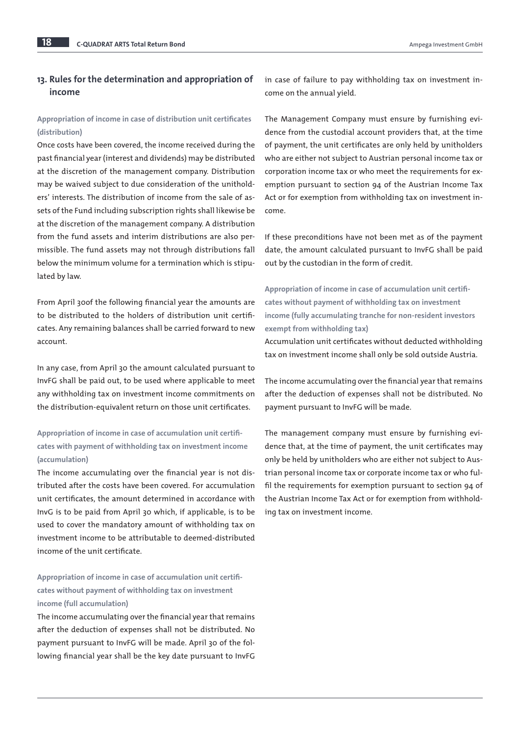## 13. Rules for the determination and appropriation of income

## Appropriation of income in case of distribution unit certificates (distribution)

Once costs have been covered, the income received during the past financial year (interest and dividends) may be distributed at the discretion of the management company. Distribution may be waived subject to due consideration of the unitholders' interests. The distribution of income from the sale of assets of the Fund including subscription rights shall likewise be at the discretion of the management company. A distribution from the fund assets and interim distributions are also permissible. The fund assets may not through distributions fall below the minimum volume for a termination which is stipulated by law.

From April 30of the following financial year the amounts are to be distributed to the holders of distribution unit certificates. Any remaining balances shall be carried forward to new account.

In any case, from April 30 the amount calculated pursuant to InvFG shall be paid out, to be used where applicable to meet any withholding tax on investment income commitments on the distribution-equivalent return on those unit certificates.

## Appropriation of income in case of accumulation unit certificates with payment of withholding tax on investment income (accumulation)

The income accumulating over the financial year is not distributed after the costs have been covered. For accumulation unit certificates, the amount determined in accordance with InvG is to be paid from April 30 which, if applicable, is to be used to cover the mandatory amount of withholding tax on investment income to be attributable to deemed-distributed income of the unit certificate.

Appropriation of income in case of accumulation unit certificates without payment of withholding tax on investment income (full accumulation)

The income accumulating over the financial year that remains after the deduction of expenses shall not be distributed. No payment pursuant to InvFG will be made. April 30 of the following financial year shall be the key date pursuant to InvFG

in case of failure to pay withholding tax on investment income on the annual yield.

The Management Company must ensure by furnishing evidence from the custodial account providers that, at the time of payment, the unit certificates are only held by unitholders who are either not subject to Austrian personal income tax or corporation income tax or who meet the requirements for exemption pursuant to section 94 of the Austrian Income Tax Act or for exemption from withholding tax on investment income.

If these preconditions have not been met as of the payment date, the amount calculated pursuant to InvFG shall be paid out by the custodian in the form of credit.

Appropriation of income in case of accumulation unit certificates without payment of withholding tax on investment income (fully accumulating tranche for non-resident investors exempt from withholding tax)

Accumulation unit certificates without deducted withholding tax on investment income shall only be sold outside Austria.

The income accumulating over the financial year that remains after the deduction of expenses shall not be distributed. No payment pursuant to InvFG will be made.

The management company must ensure by furnishing evidence that, at the time of payment, the unit certificates may only be held by unitholders who are either not subject to Austrian personal income tax or corporate income tax or who fulfil the requirements for exemption pursuant to section 94 of the Austrian Income Tax Act or for exemption from withholding tax on investment income.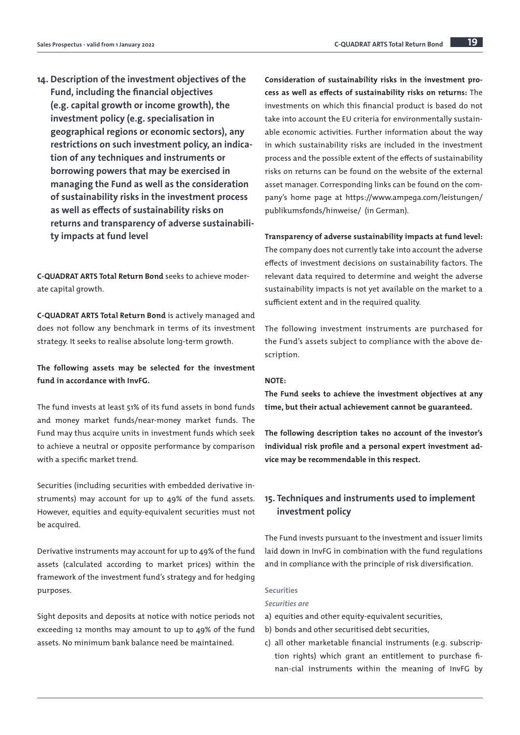14. Description of the investment objectives of the Fund, including the financial objectives (e.g. capital growth or income growth), the investment policy (e.g. specialisation in geographical regions or economic sectors), any restrictions on such investment policy, an indication of any techniques and instruments or borrowing powers that may be exercised in managing the Fund as well as the consideration of sustainability risks in the investment process as well as effects of sustainability risks on returns and transparency of adverse sustainability impacts at fund level

C-QUADRAT ARTS Total Return Bond seeks to achieve moderate capital growth.

C-QUADRAT ARTS Total Return Bond is actively managed and does not follow any benchmark in terms of its investment strategy. It seeks to realise absolute long-term growth.

## The following assets may be selected for the investment fund in accordance with InvFG.

The fund invests at least 51% of its fund assets in bond funds and money market funds/near-money market funds. The Fund may thus acquire units in investment funds which seek to achieve a neutral or opposite performance by comparison with a specific market trend.

Securities (including securities with embedded derivative instruments) may account for up to 49% of the fund assets. However, equities and equity-equivalent securities must not be acquired.

Derivative instruments may account for up to 49% of the fund assets (calculated according to market prices) within the framework of the investment fund's strategy and for hedging purposes.

Sight deposits and deposits at notice with notice periods not exceeding 12 months may amount to up to 49% of the fund assets. No minimum bank balance need be maintained.

Consideration of sustainability risks in the investment process as well as effects of sustainability risks on returns: The investments on which this financial product is based do not take into account the EU criteria for environmentally sustainable economic activities. Further information about the way in which sustainability risks are included in the investment process and the possible extent of the effects of sustainability risks on returns can be found on the website of the external asset manager. Corresponding links can be found on the company's home page at [https://www.ampega.com/leistungen/](https://www.ampega.com/leistungen/publikumsfonds/hinweise/) [publikumsfonds/hinweise/](https://www.ampega.com/leistungen/publikumsfonds/hinweise/) [\(in German\).](https://www.ampega.com/fonds/hinweise/index.html)

Transparency of adverse sustainability impacts at fund level: The company does not currently take into account the adverse effects of investment decisions on sustainability factors. The relevant data required to determine and weight the adverse sustainability impacts is not yet available on the market to a sufficient extent and in the required quality.

The following investment instruments are purchased for the Fund's assets subject to compliance with the above description.

## NOTE:

The Fund seeks to achieve the investment objectives at any time, but their actual achievement cannot be guaranteed.

The following description takes no account of the investor's individual risk profile and a personal expert investment advice may be recommendable in this respect.

## 15. Techniques and instruments used to implement investment policy

The Fund invests pursuant to the investment and issuer limits laid down in InvFG in combination with the fund regulations and in compliance with the principle of risk diversification.

### **Securities**

#### *Securities are*

- a) equities and other equity-equivalent securities,
- b) bonds and other securitised debt securities,
- c) all other marketable financial instruments (e.g. subscription rights) which grant an entitlement to purchase finan-cial instruments within the meaning of InvFG by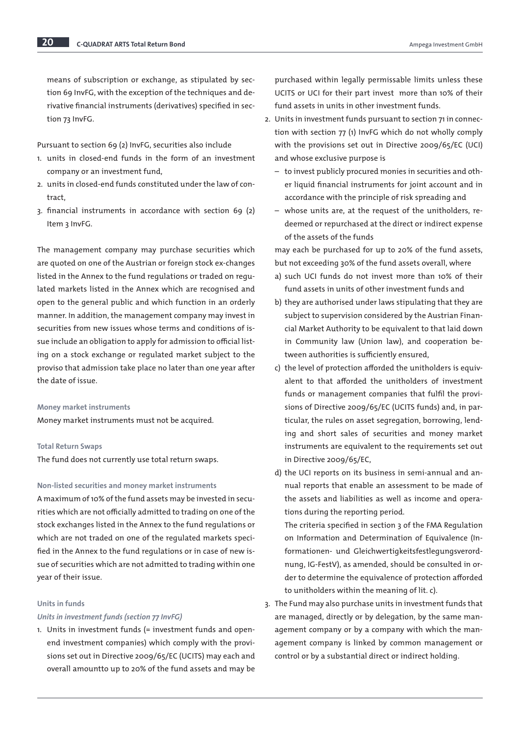means of subscription or exchange, as stipulated by section 69 InvFG, with the exception of the techniques and derivative financial instruments (derivatives) specified in section 73 InvFG.

Pursuant to section 69 (2) InvFG, securities also include

- 1. units in closed-end funds in the form of an investment company or an investment fund,
- 2. units in closed-end funds constituted under the law of contract,
- 3. financial instruments in accordance with section 69 (2) Item 3 InvFG.

The management company may purchase securities which are quoted on one of the Austrian or foreign stock ex-changes listed in the Annex to the fund regulations or traded on regulated markets listed in the Annex which are recognised and open to the general public and which function in an orderly manner. In addition, the management company may invest in securities from new issues whose terms and conditions of issue include an obligation to apply for admission to official listing on a stock exchange or regulated market subject to the proviso that admission take place no later than one year after the date of issue.

#### Money market instruments

Money market instruments must not be acquired.

#### Total Return Swaps

The fund does not currently use total return swaps.

## Non-listed securities and money market instruments

A maximum of 10% of the fund assets may be invested in securities which are not officially admitted to trading on one of the stock exchanges listed in the Annex to the fund regulations or which are not traded on one of the regulated markets specified in the Annex to the fund regulations or in case of new issue of securities which are not admitted to trading within one year of their issue.

#### Units in funds

#### *Units in investment funds (section 77 InvFG)*

1. Units in investment funds (= investment funds and openend investment companies) which comply with the provisions set out in Directive 2009/65/EC (UCITS) may each and overall amountto up to 20% of the fund assets and may be purchased within legally permissable limits unless these UCITS or UCI for their part invest more than 10% of their fund assets in units in other investment funds.

- 2. Units in investment funds pursuant to section 71 in connection with section 77 (1) InvFG which do not wholly comply with the provisions set out in Directive 2009/65/EC (UCI) and whose exclusive purpose is
	- to invest publicly procured monies in securities and other liquid financial instruments for joint account and in accordance with the principle of risk spreading and
	- whose units are, at the request of the unitholders, redeemed or repurchased at the direct or indirect expense of the assets of the funds

may each be purchased for up to 20% of the fund assets, but not exceeding 30% of the fund assets overall, where

- a) such UCI funds do not invest more than 10% of their fund assets in units of other investment funds and
- b) they are authorised under laws stipulating that they are subject to supervision considered by the Austrian Financial Market Authority to be equivalent to that laid down in Community law (Union law), and cooperation between authorities is sufficiently ensured,
- c) the level of protection afforded the unitholders is equivalent to that afforded the unitholders of investment funds or management companies that fulfil the provisions of Directive 2009/65/EC (UCITS funds) and, in particular, the rules on asset segregation, borrowing, lending and short sales of securities and money market instruments are equivalent to the requirements set out in Directive 2009/65/EC,
- d) the UCI reports on its business in semi-annual and annual reports that enable an assessment to be made of the assets and liabilities as well as income and operations during the reporting period.

The criteria specified in section 3 of the FMA Regulation on Information and Determination of Equivalence (Informationen- und Gleichwertigkeitsfestlegungsverordnung, IG-FestV), as amended, should be consulted in order to determine the equivalence of protection afforded to unitholders within the meaning of lit. c).

3. The Fund may also purchase units in investment funds that are managed, directly or by delegation, by the same management company or by a company with which the management company is linked by common management or control or by a substantial direct or indirect holding.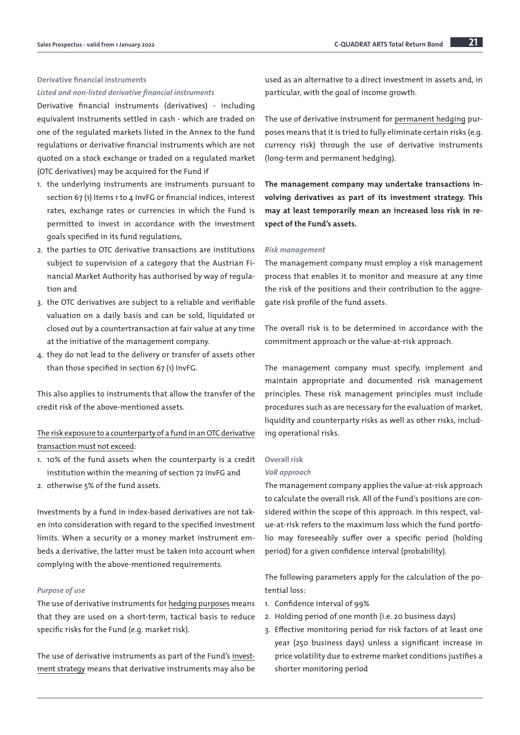## Derivative financial instruments *Listed and non-listed derivative financial instruments*

Derivative financial instruments (derivatives) - including equivalent instruments settled in cash - which are traded on one of the regulated markets listed in the Annex to the fund regulations or derivative financial instruments which are not quoted on a stock exchange or traded on a regulated market (OTC derivatives) may be acquired for the Fund if

- 1. the underlying instruments are instruments pursuant to section 67 (1) Items 1 to 4 InvFG or financial indices, interest rates, exchange rates or currencies in which the Fund is permitted to invest in accordance with the investment goals specified in its fund regulations,
- 2. the parties to OTC derivative transactions are institutions subject to supervision of a category that the Austrian Financial Market Authority has authorised by way of regulation and
- 3. the OTC derivatives are subject to a reliable and verifiable valuation on a daily basis and can be sold, liquidated or closed out by a countertransaction at fair value at any time at the initiative of the management company.
- 4. they do not lead to the delivery or transfer of assets other than those specified in section 67 (1) InvFG.

This also applies to instruments that allow the transfer of the credit risk of the above-mentioned assets.

## The risk exposure to a counterparty of a fund in an OTC derivative transaction must not exceed:

- 1. 10% of the fund assets when the counterparty is a credit institution within the meaning of section 72 InvFG and
- 2. otherwise 5% of the fund assets.

Investments by a fund in index-based derivatives are not taken into consideration with regard to the specified investment limits. When a security or a money market instrument embeds a derivative, the latter must be taken into account when complying with the above-mentioned requirements.

## *Purpose of use*

The use of derivative instruments for hedging purposes means that they are used on a short-term, tactical basis to reduce specific risks for the Fund (e.g. market risk).

The use of derivative instruments as part of the Fund's investment strategy means that derivative instruments may also be used as an alternative to a direct investment in assets and, in particular, with the goal of income growth.

The use of derivative instrument for permanent hedging purposes means that it is tried to fully eliminate certain risks (e.g. currency risk) through the use of derivative instruments (long-term and permanent hedging).

The management company may undertake transactions involving derivatives as part of its investment strategy. This may at least temporarily mean an increased loss risk in respect of the Fund's assets.

#### *Risk management*

The management company must employ a risk management process that enables it to monitor and measure at any time the risk of the positions and their contribution to the aggregate risk profile of the fund assets.

The overall risk is to be determined in accordance with the commitment approach or the value-at-risk approach.

The management company must specify, implement and maintain appropriate and documented risk management principles. These risk management principles must include procedures such as are necessary for the evaluation of market, liquidity and counterparty risks as well as other risks, including operational risks.

#### Overall risk

#### *VaR approach*

The management company applies the value-at-risk approach to calculate the overall risk. All of the Fund's positions are considered within the scope of this approach. In this respect, value-at-risk refers to the maximum loss which the fund portfolio may foreseeably suffer over a specific period (holding period) for a given confidence interval (probability).

The following parameters apply for the calculation of the potential loss:

- 1. Confidence interval of 99%
- 2. Holding period of one month (i.e. 20 business days)
- 3. Effective monitoring period for risk factors of at least one year (250 business days) unless a significant increase in price volatility due to extreme market conditions justifies a shorter monitoring period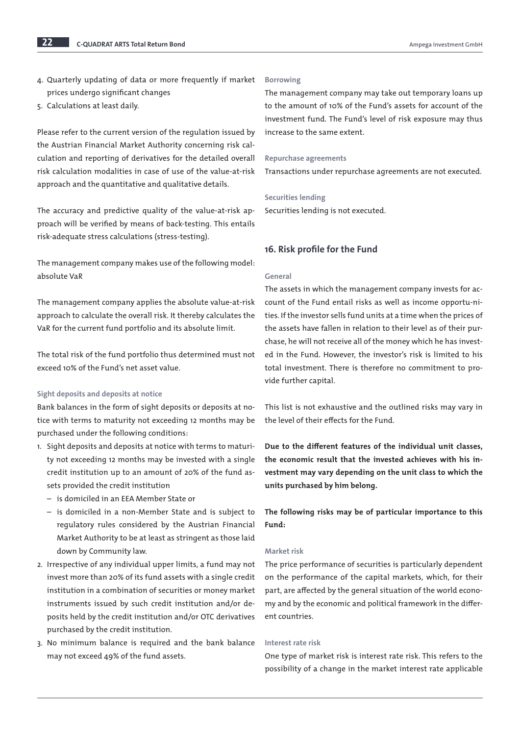- 4. Quarterly updating of data or more frequently if market prices undergo significant changes
- 5. Calculations at least daily.

Please refer to the current version of the regulation issued by the Austrian Financial Market Authority concerning risk calculation and reporting of derivatives for the detailed overall risk calculation modalities in case of use of the value-at-risk approach and the quantitative and qualitative details.

The accuracy and predictive quality of the value-at-risk approach will be verified by means of back-testing. This entails risk-adequate stress calculations (stress-testing).

The management company makes use of the following model: absolute VaR

The management company applies the absolute value-at-risk approach to calculate the overall risk. It thereby calculates the VaR for the current fund portfolio and its absolute limit.

The total risk of the fund portfolio thus determined must not exceed 10% of the Fund's net asset value.

#### Sight deposits and deposits at notice

Bank balances in the form of sight deposits or deposits at notice with terms to maturity not exceeding 12 months may be purchased under the following conditions:

- 1. Sight deposits and deposits at notice with terms to maturity not exceeding 12 months may be invested with a single credit institution up to an amount of 20% of the fund assets provided the credit institution
	- is domiciled in an EEA Member State or
	- is domiciled in a non-Member State and is subject to regulatory rules considered by the Austrian Financial Market Authority to be at least as stringent as those laid down by Community law.
- 2. Irrespective of any individual upper limits, a fund may not invest more than 20% of its fund assets with a single credit institution in a combination of securities or money market instruments issued by such credit institution and/or deposits held by the credit institution and/or OTC derivatives purchased by the credit institution.
- 3. No minimum balance is required and the bank balance may not exceed 49% of the fund assets.

#### Borrowing

The management company may take out temporary loans up to the amount of 10% of the Fund's assets for account of the investment fund. The Fund's level of risk exposure may thus increase to the same extent.

#### Repurchase agreements

Transactions under repurchase agreements are not executed.

#### Securities lending

Securities lending is not executed.

## 16. Risk profile for the Fund

#### General

The assets in which the management company invests for account of the Fund entail risks as well as income opportu-nities. If the investor sells fund units at a time when the prices of the assets have fallen in relation to their level as of their purchase, he will not receive all of the money which he has invested in the Fund. However, the investor's risk is limited to his total investment. There is therefore no commitment to provide further capital.

This list is not exhaustive and the outlined risks may vary in the level of their effects for the Fund.

Due to the different features of the individual unit classes, the economic result that the invested achieves with his investment may vary depending on the unit class to which the units purchased by him belong.

The following risks may be of particular importance to this Fund:

#### Market risk

The price performance of securities is particularly dependent on the performance of the capital markets, which, for their part, are affected by the general situation of the world economy and by the economic and political framework in the different countries.

### Interest rate risk

One type of market risk is interest rate risk. This refers to the possibility of a change in the market interest rate applicable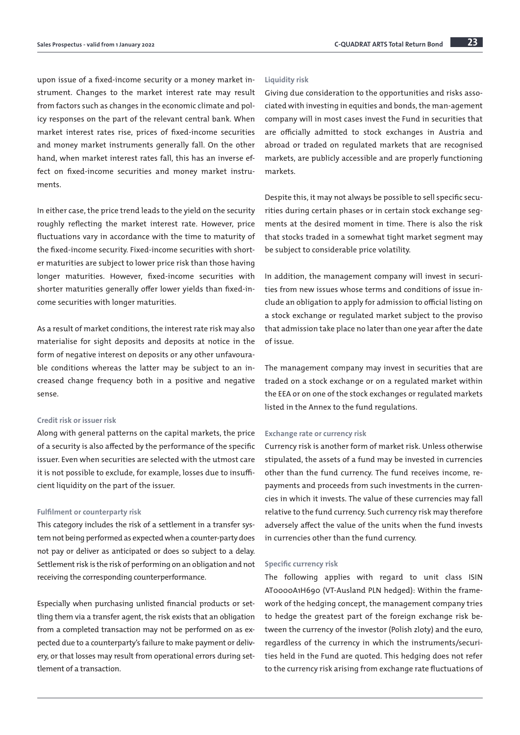upon issue of a fixed-income security or a money market instrument. Changes to the market interest rate may result from factors such as changes in the economic climate and policy responses on the part of the relevant central bank. When market interest rates rise, prices of fixed-income securities and money market instruments generally fall. On the other hand, when market interest rates fall, this has an inverse effect on fixed-income securities and money market instruments.

In either case, the price trend leads to the yield on the security roughly reflecting the market interest rate. However, price fluctuations vary in accordance with the time to maturity of the fixed-income security. Fixed-income securities with shorter maturities are subject to lower price risk than those having longer maturities. However, fixed-income securities with shorter maturities generally offer lower yields than fixed-income securities with longer maturities.

As a result of market conditions, the interest rate risk may also materialise for sight deposits and deposits at notice in the form of negative interest on deposits or any other unfavourable conditions whereas the latter may be subject to an increased change frequency both in a positive and negative sense.

### Credit risk or issuer risk

Along with general patterns on the capital markets, the price of a security is also affected by the performance of the specific issuer. Even when securities are selected with the utmost care it is not possible to exclude, for example, losses due to insufficient liquidity on the part of the issuer.

#### Fulfilment or counterparty risk

This category includes the risk of a settlement in a transfer system not being performed as expected when a counter-party does not pay or deliver as anticipated or does so subject to a delay. Settlement risk is the risk of performing on an obligation and not receiving the corresponding counterperformance.

Especially when purchasing unlisted financial products or settling them via a transfer agent, the risk exists that an obligation from a completed transaction may not be performed on as expected due to a counterparty's failure to make payment or delivery, or that losses may result from operational errors during settlement of a transaction.

#### Liquidity risk

Giving due consideration to the opportunities and risks associated with investing in equities and bonds, the man-agement company will in most cases invest the Fund in securities that are officially admitted to stock exchanges in Austria and abroad or traded on regulated markets that are recognised markets, are publicly accessible and are properly functioning markets.

Despite this, it may not always be possible to sell specific securities during certain phases or in certain stock exchange segments at the desired moment in time. There is also the risk that stocks traded in a somewhat tight market segment may be subject to considerable price volatility.

In addition, the management company will invest in securities from new issues whose terms and conditions of issue include an obligation to apply for admission to official listing on a stock exchange or regulated market subject to the proviso that admission take place no later than one year after the date of issue.

The management company may invest in securities that are traded on a stock exchange or on a regulated market within the EEA or on one of the stock exchanges or regulated markets listed in the Annex to the fund regulations.

#### Exchange rate or currency risk

Currency risk is another form of market risk. Unless otherwise stipulated, the assets of a fund may be invested in currencies other than the fund currency. The fund receives income, repayments and proceeds from such investments in the currencies in which it invests. The value of these currencies may fall relative to the fund currency. Such currency risk may therefore adversely affect the value of the units when the fund invests in currencies other than the fund currency.

#### Specific currency risk

The following applies with regard to unit class ISIN AT0000A1H690 (VT-Ausland PLN hedged): Within the framework of the hedging concept, the management company tries to hedge the greatest part of the foreign exchange risk between the currency of the investor (Polish zloty) and the euro, regardless of the currency in which the instruments/securities held in the Fund are quoted. This hedging does not refer to the currency risk arising from exchange rate fluctuations of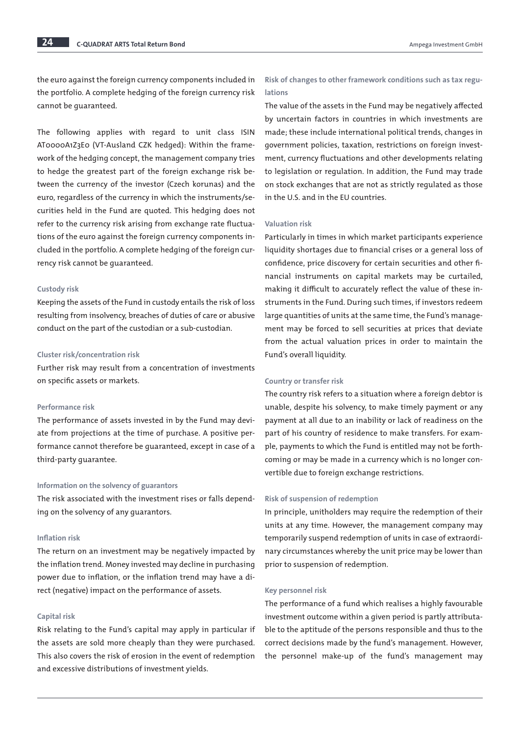the euro against the foreign currency components included in the portfolio. A complete hedging of the foreign currency risk cannot be guaranteed.

The following applies with regard to unit class ISIN AT0000A1Z3E0 (VT-Ausland CZK hedged): Within the framework of the hedging concept, the management company tries to hedge the greatest part of the foreign exchange risk between the currency of the investor (Czech korunas) and the euro, regardless of the currency in which the instruments/securities held in the Fund are quoted. This hedging does not refer to the currency risk arising from exchange rate fluctuations of the euro against the foreign currency components included in the portfolio. A complete hedging of the foreign currency risk cannot be guaranteed.

#### Custody risk

Keeping the assets of the Fund in custody entails the risk of loss resulting from insolvency, breaches of duties of care or abusive conduct on the part of the custodian or a sub-custodian.

#### Cluster risk/concentration risk

Further risk may result from a concentration of investments on specific assets or markets.

#### Performance risk

The performance of assets invested in by the Fund may deviate from projections at the time of purchase. A positive performance cannot therefore be guaranteed, except in case of a third-party guarantee.

#### Information on the solvency of guarantors

The risk associated with the investment rises or falls depending on the solvency of any guarantors.

#### Inflation risk

The return on an investment may be negatively impacted by the inflation trend. Money invested may decline in purchasing power due to inflation, or the inflation trend may have a direct (negative) impact on the performance of assets.

#### Capital risk

Risk relating to the Fund's capital may apply in particular if the assets are sold more cheaply than they were purchased. This also covers the risk of erosion in the event of redemption and excessive distributions of investment yields.

## Risk of changes to other framework conditions such as tax regulations

The value of the assets in the Fund may be negatively affected by uncertain factors in countries in which investments are made; these include international political trends, changes in government policies, taxation, restrictions on foreign investment, currency fluctuations and other developments relating to legislation or regulation. In addition, the Fund may trade on stock exchanges that are not as strictly regulated as those in the U.S. and in the EU countries.

### Valuation risk

Particularly in times in which market participants experience liquidity shortages due to financial crises or a general loss of confidence, price discovery for certain securities and other financial instruments on capital markets may be curtailed, making it difficult to accurately reflect the value of these instruments in the Fund. During such times, if investors redeem large quantities of units at the same time, the Fund's management may be forced to sell securities at prices that deviate from the actual valuation prices in order to maintain the Fund's overall liquidity.

#### Country or transfer risk

The country risk refers to a situation where a foreign debtor is unable, despite his solvency, to make timely payment or any payment at all due to an inability or lack of readiness on the part of his country of residence to make transfers. For example, payments to which the Fund is entitled may not be forthcoming or may be made in a currency which is no longer convertible due to foreign exchange restrictions.

#### Risk of suspension of redemption

In principle, unitholders may require the redemption of their units at any time. However, the management company may temporarily suspend redemption of units in case of extraordinary circumstances whereby the unit price may be lower than prior to suspension of redemption.

#### Key personnel risk

The performance of a fund which realises a highly favourable investment outcome within a given period is partly attributable to the aptitude of the persons responsible and thus to the correct decisions made by the fund's management. However, the personnel make-up of the fund's management may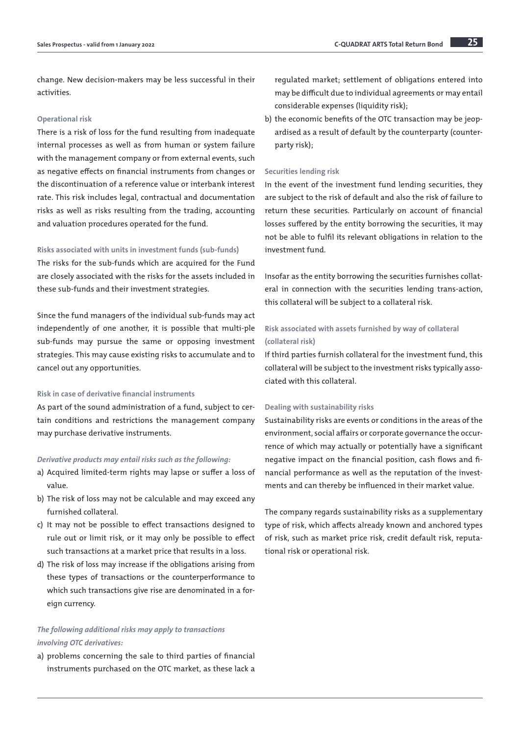change. New decision-makers may be less successful in their activities.

### Operational risk

There is a risk of loss for the fund resulting from inadequate internal processes as well as from human or system failure with the management company or from external events, such as negative effects on financial instruments from changes or the discontinuation of a reference value or interbank interest rate. This risk includes legal, contractual and documentation risks as well as risks resulting from the trading, accounting and valuation procedures operated for the fund.

#### Risks associated with units in investment funds (sub-funds)

The risks for the sub-funds which are acquired for the Fund are closely associated with the risks for the assets included in these sub-funds and their investment strategies.

Since the fund managers of the individual sub-funds may act independently of one another, it is possible that multi-ple sub-funds may pursue the same or opposing investment strategies. This may cause existing risks to accumulate and to cancel out any opportunities.

#### Risk in case of derivative financial instruments

As part of the sound administration of a fund, subject to certain conditions and restrictions the management company may purchase derivative instruments.

#### *Derivative products may entail risks such as the following:*

- a) Acquired limited-term rights may lapse or suffer a loss of value.
- b) The risk of loss may not be calculable and may exceed any furnished collateral.
- c) It may not be possible to effect transactions designed to rule out or limit risk, or it may only be possible to effect such transactions at a market price that results in a loss.
- d) The risk of loss may increase if the obligations arising from these types of transactions or the counterperformance to which such transactions give rise are denominated in a foreign currency.

## *The following additional risks may apply to transactions involving OTC derivatives:*

a) problems concerning the sale to third parties of financial instruments purchased on the OTC market, as these lack a regulated market; settlement of obligations entered into may be difficult due to individual agreements or may entail considerable expenses (liquidity risk);

b) the economic benefits of the OTC transaction may be jeopardised as a result of default by the counterparty (counterparty risk);

#### Securities lending risk

In the event of the investment fund lending securities, they are subject to the risk of default and also the risk of failure to return these securities. Particularly on account of financial losses suffered by the entity borrowing the securities, it may not be able to fulfil its relevant obligations in relation to the investment fund.

Insofar as the entity borrowing the securities furnishes collateral in connection with the securities lending trans-action, this collateral will be subject to a collateral risk.

## Risk associated with assets furnished by way of collateral (collateral risk)

If third parties furnish collateral for the investment fund, this collateral will be subject to the investment risks typically associated with this collateral.

## Dealing with sustainability risks

Sustainability risks are events or conditions in the areas of the environment, social affairs or corporate governance the occurrence of which may actually or potentially have a significant negative impact on the financial position, cash flows and financial performance as well as the reputation of the investments and can thereby be influenced in their market value.

The company regards sustainability risks as a supplementary type of risk, which affects already known and anchored types of risk, such as market price risk, credit default risk, reputational risk or operational risk.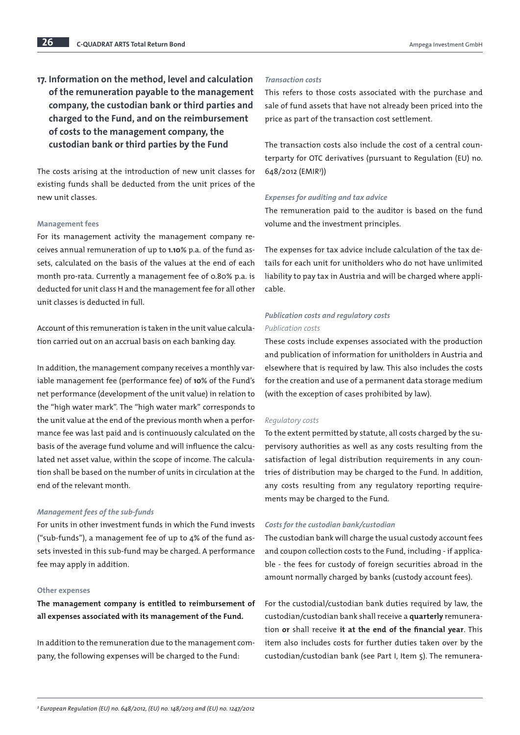17. Information on the method, level and calculation of the remuneration payable to the management company, the custodian bank or third parties and charged to the Fund, and on the reimbursement of costs to the management company, the custodian bank or third parties by the Fund

The costs arising at the introduction of new unit classes for existing funds shall be deducted from the unit prices of the new unit classes.

#### Management fees

For its management activity the management company receives annual remuneration of up to 1.10% p.a. of the fund assets, calculated on the basis of the values at the end of each month pro-rata. Currently a management fee of 0.80% p.a. is deducted for unit class H and the management fee for all other unit classes is deducted in full.

Account of this remuneration is taken in the unit value calculation carried out on an accrual basis on each banking day.

In addition, the management company receives a monthly variable management fee (performance fee) of 10% of the Fund's net performance (development of the unit value) in relation to the "high water mark". The "high water mark" corresponds to the unit value at the end of the previous month when a performance fee was last paid and is continuously calculated on the basis of the average fund volume and will influence the calculated net asset value, within the scope of income. The calculation shall be based on the number of units in circulation at the end of the relevant month.

#### *Management fees of the sub-funds*

For units in other investment funds in which the Fund invests ("sub-funds"), a management fee of up to 4% of the fund assets invested in this sub-fund may be charged. A performance fee may apply in addition.

### Other expenses

The management company is entitled to reimbursement of all expenses associated with its management of the Fund.

In addition to the remuneration due to the management company, the following expenses will be charged to the Fund:

#### *Transaction costs*

This refers to those costs associated with the purchase and sale of fund assets that have not already been priced into the price as part of the transaction cost settlement.

The transaction costs also include the cost of a central counterparty for OTC derivatives (pursuant to Regulation (EU) no. 648/2012 (EMIR3 ))

#### *Expenses for auditing and tax advice*

The remuneration paid to the auditor is based on the fund volume and the investment principles.

The expenses for tax advice include calculation of the tax details for each unit for unitholders who do not have unlimited liability to pay tax in Austria and will be charged where applicable.

## *Publication costs and regulatory costs Publication costs*

These costs include expenses associated with the production and publication of information for unitholders in Austria and elsewhere that is required by law. This also includes the costs for the creation and use of a permanent data storage medium (with the exception of cases prohibited by law).

#### *Regulatory costs*

To the extent permitted by statute, all costs charged by the supervisory authorities as well as any costs resulting from the satisfaction of legal distribution requirements in any countries of distribution may be charged to the Fund. In addition, any costs resulting from any regulatory reporting requirements may be charged to the Fund.

#### *Costs for the custodian bank/custodian*

The custodian bank will charge the usual custody account fees and coupon collection costs to the Fund, including - if applicable - the fees for custody of foreign securities abroad in the amount normally charged by banks (custody account fees).

For the custodial/custodian bank duties required by law, the custodian/custodian bank shall receive a quarterly remuneration or shall receive it at the end of the financial year. This item also includes costs for further duties taken over by the custodian/custodian bank (see Part I, Item 5). The remunera-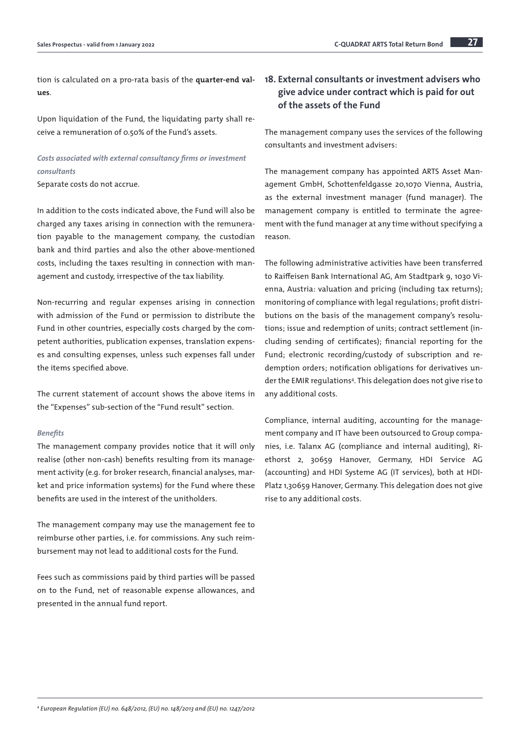tion is calculated on a pro-rata basis of the quarter-end values.

Upon liquidation of the Fund, the liquidating party shall receive a remuneration of 0.50% of the Fund's assets.

## *Costs associated with external consultancy firms or investment consultants*

Separate costs do not accrue.

In addition to the costs indicated above, the Fund will also be charged any taxes arising in connection with the remuneration payable to the management company, the custodian bank and third parties and also the other above-mentioned costs, including the taxes resulting in connection with management and custody, irrespective of the tax liability.

Non-recurring and regular expenses arising in connection with admission of the Fund or permission to distribute the Fund in other countries, especially costs charged by the competent authorities, publication expenses, translation expenses and consulting expenses, unless such expenses fall under the items specified above.

The current statement of account shows the above items in the "Expenses" sub-section of the "Fund result" section.

#### *Benefits*

The management company provides notice that it will only realise (other non-cash) benefits resulting from its management activity (e.g. for broker research, financial analyses, market and price information systems) for the Fund where these benefits are used in the interest of the unitholders.

The management company may use the management fee to reimburse other parties, i.e. for commissions. Any such reimbursement may not lead to additional costs for the Fund.

Fees such as commissions paid by third parties will be passed on to the Fund, net of reasonable expense allowances, and presented in the annual fund report.

## 18. External consultants or investment advisers who give advice under contract which is paid for out of the assets of the Fund

The management company uses the services of the following consultants and investment advisers:

The management company has appointed ARTS Asset Management GmbH, Schottenfeldgasse 20,1070 Vienna, Austria, as the external investment manager (fund manager). The management company is entitled to terminate the agreement with the fund manager at any time without specifying a reason.

The following administrative activities have been transferred to Raiffeisen Bank International AG, Am Stadtpark 9, 1030 Vienna, Austria: valuation and pricing (including tax returns); monitoring of compliance with legal regulations; profit distributions on the basis of the management company's resolutions; issue and redemption of units; contract settlement (including sending of certificates); financial reporting for the Fund; electronic recording/custody of subscription and redemption orders; notification obligations for derivatives under the EMIR regulations4 . This delegation does not give rise to any additional costs.

Compliance, internal auditing, accounting for the management company and IT have been outsourced to Group companies, i.e. Talanx AG (compliance and internal auditing), Riethorst 2, 30659 Hanover, Germany, HDI Service AG (accounting) and HDI Systeme AG (IT services), both at HDI-Platz 1,30659 Hanover, Germany. This delegation does not give rise to any additional costs.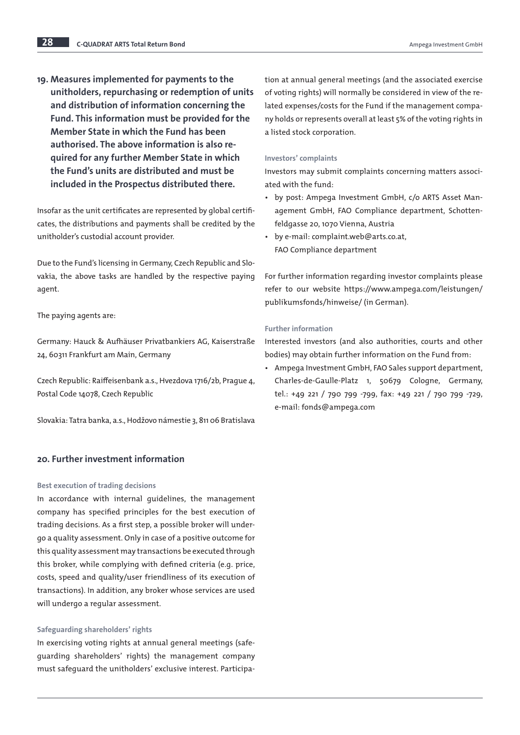19. Measures implemented for payments to the unitholders, repurchasing or redemption of units and distribution of information concerning the Fund. This information must be provided for the Member State in which the Fund has been authorised. The above information is also required for any further Member State in which the Fund's units are distributed and must be included in the Prospectus distributed there.

Insofar as the unit certificates are represented by global certificates, the distributions and payments shall be credited by the unitholder's custodial account provider.

Due to the Fund's licensing in Germany, Czech Republic and Slovakia, the above tasks are handled by the respective paying agent.

The paying agents are:

Germany: Hauck & Aufhäuser Privatbankiers AG, Kaiserstraße 24, 60311 Frankfurt am Main, Germany

Czech Republic: Raiffeisenbank a.s., Hvezdova 1716/2b, Prague 4, Postal Code 14078, Czech Republic

Slovakia: Tatra banka, a.s., Hodžovo námestie 3, 811 06 Bratislava

## 20. Further investment information

#### Best execution of trading decisions

In accordance with internal guidelines, the management company has specified principles for the best execution of trading decisions. As a first step, a possible broker will undergo a quality assessment. Only in case of a positive outcome for this quality assessment may transactions be executed through this broker, while complying with defined criteria (e.g. price, costs, speed and quality/user friendliness of its execution of transactions). In addition, any broker whose services are used will undergo a regular assessment.

## Safeguarding shareholders' rights

In exercising voting rights at annual general meetings (safeguarding shareholders' rights) the management company must safeguard the unitholders' exclusive interest. Participation at annual general meetings (and the associated exercise of voting rights) will normally be considered in view of the related expenses/costs for the Fund if the management company holds or represents overall at least 5% of the voting rights in a listed stock corporation.

## Investors' complaints

Investors may submit complaints concerning matters associated with the fund:

- by post: Ampega Investment GmbH, c/o ARTS Asset Management GmbH, FAO Compliance department, Schottenfeldgasse 20, 1070 Vienna, Austria
- by e-mail: complaint.web@arts.co.at, FAO Compliance department

For further information regarding investor complaints please refer to our website [https://www.ampega.com/leistungen/](https://www.ampega.com/leistungen/publikumsfonds/hinweise/) [publikumsfonds/hinweise/](https://www.ampega.com/leistungen/publikumsfonds/hinweise/) (in German).

## Further information

Interested investors (and also authorities, courts and other bodies) may obtain further information on the Fund from:

• Ampega Investment GmbH, FAO Sales support department, Charles-de-Gaulle-Platz 1, 50679 Cologne, Germany, tel.: +49 221 / 790 799 -799, fax: +49 221 / 790 799 -729, e-mail: fonds@ampega.com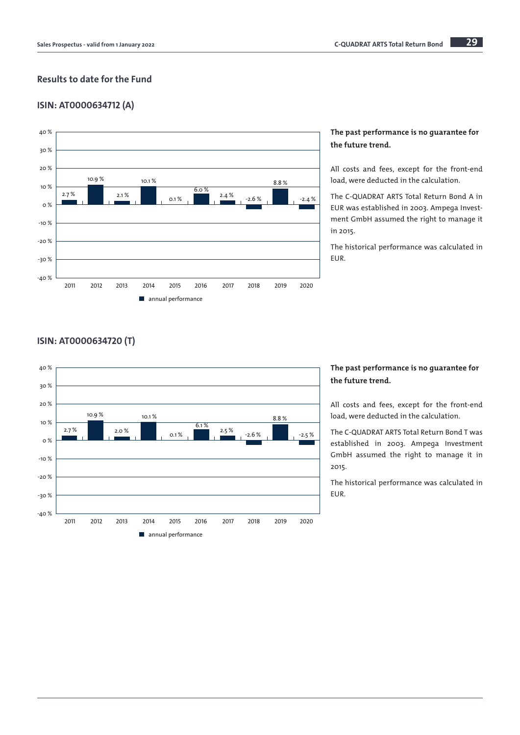## Results to date for the Fund

## ISIN: AT0000634712 (A)



## The past performance is no guarantee for the future trend.

All costs and fees, except for the front-end load, were deducted in the calculation.

The C-QUADRAT ARTS Total Return Bond A in EUR was established in 2003. Ampega Investment GmbH assumed the right to manage it in 2015.

The historical performance was calculated in EUR.

## ISIN: AT0000634720 (T)



## The past performance is no guarantee for the future trend.

All costs and fees, except for the front-end load, were deducted in the calculation.

The C-QUADRAT ARTS Total Return Bond T was established in 2003. Ampega Investment GmbH assumed the right to manage it in 2015.

The historical performance was calculated in EUR.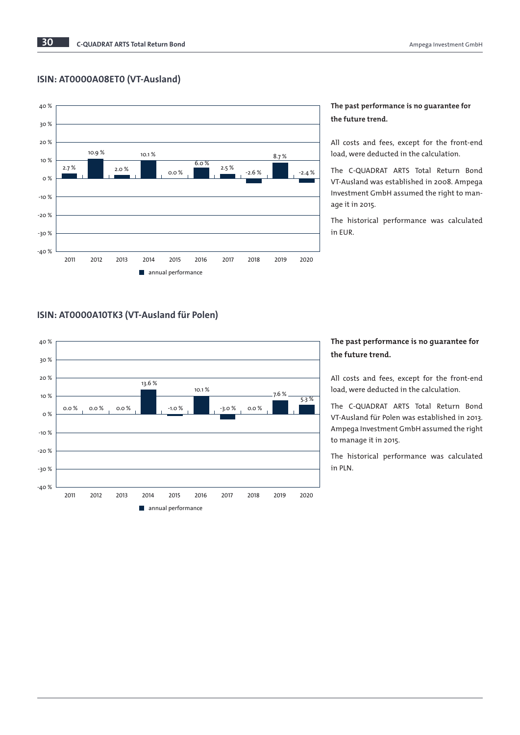## ISIN: AT0000A08ET0 (VT-Ausland)



## The past performance is no guarantee for the future trend.

All costs and fees, except for the front-end load, were deducted in the calculation.

The C-QUADRAT ARTS Total Return Bond VT-Ausland was established in 2008. Ampega Investment GmbH assumed the right to manage it in 2015.

The historical performance was calculated in EUR.

## ISIN: AT0000A10TK3 (VT-Ausland für Polen)



## The past performance is no guarantee for the future trend.

All costs and fees, except for the front-end load, were deducted in the calculation.

The C-QUADRAT ARTS Total Return Bond VT-Ausland für Polen was established in 2013. Ampega Investment GmbH assumed the right to manage it in 2015.

The historical performance was calculated in PLN.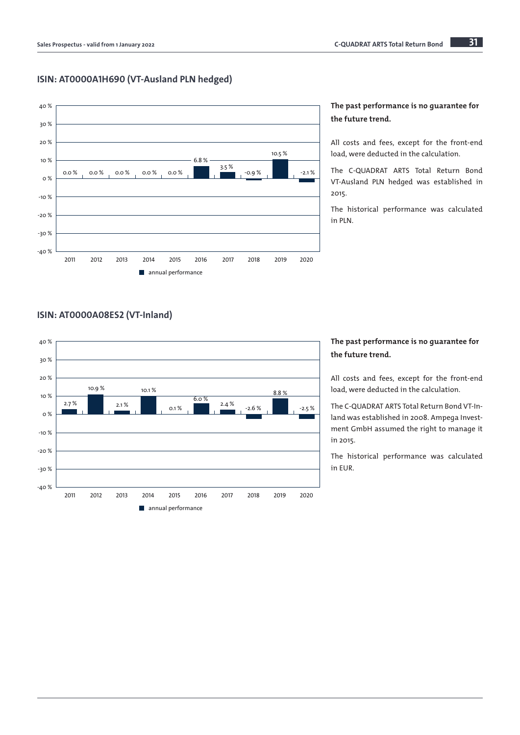## ISIN: AT0000A1H690 (VT-Ausland PLN hedged)



## The past performance is no guarantee for the future trend.

All costs and fees, except for the front-end load, were deducted in the calculation.

The C-QUADRAT ARTS Total Return Bond VT-Ausland PLN hedged was established in 2015.

The historical performance was calculated in PLN.

## ISIN: AT0000A08ES2 (VT-Inland)



## The past performance is no guarantee for the future trend.

All costs and fees, except for the front-end load, were deducted in the calculation.

The C-QUADRAT ARTS Total Return Bond VT-Inland was established in 2008. Ampega Investment GmbH assumed the right to manage it in 2015.

The historical performance was calculated in EUR.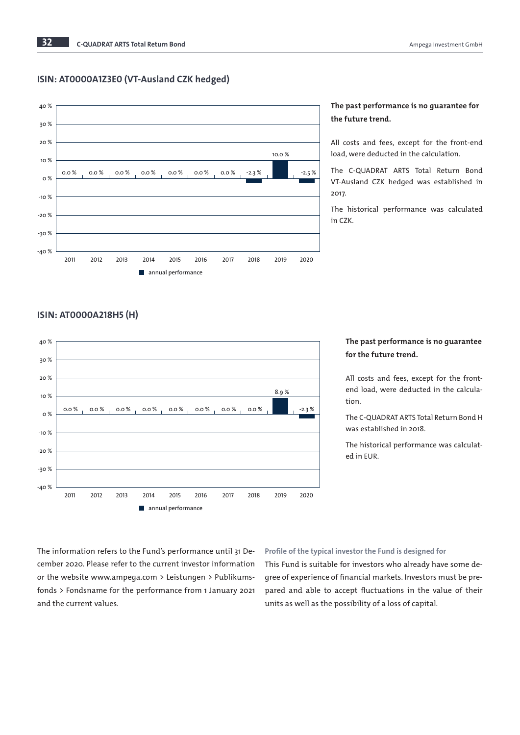## ISIN: AT0000A1Z3E0 (VT-Ausland CZK hedged)



## The past performance is no guarantee for the future trend.

All costs and fees, except for the front-end load, were deducted in the calculation.

The C-QUADRAT ARTS Total Return Bond VT-Ausland CZK hedged was established in 2017.

The historical performance was calculated in CZK.

## ISIN: AT0000A218H5 (H)



## The past performance is no guarantee for the future trend.

All costs and fees, except for the frontend load, were deducted in the calculation.

The C-QUADRAT ARTS Total Return Bond H was established in 2018.

The historical performance was calculated in EUR.

The information refers to the Fund's performance until 31 December 2020. Please refer to the current investor information or the website www.ampega.com > Leistungen > Publikumsfonds > Fondsname for the performance from 1 January 2021 and the current values.

#### Profile of the typical investor the Fund is designed for

This Fund is suitable for investors who already have some degree of experience of financial markets. Investors must be prepared and able to accept fluctuations in the value of their units as well as the possibility of a loss of capital.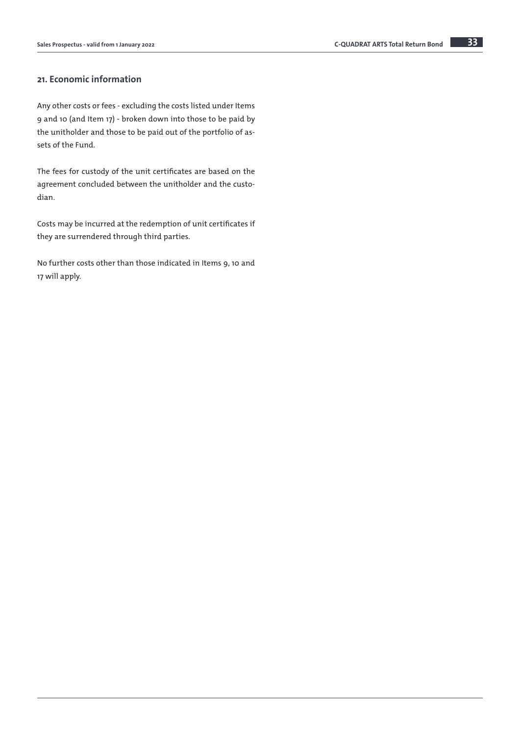## 21. Economic information

Any other costs or fees - excluding the costs listed under Items 9 and 10 (and Item 17) - broken down into those to be paid by the unitholder and those to be paid out of the portfolio of assets of the Fund.

The fees for custody of the unit certificates are based on the agreement concluded between the unitholder and the custodian.

Costs may be incurred at the redemption of unit certificates if they are surrendered through third parties.

No further costs other than those indicated in Items 9, 10 and 17 will apply.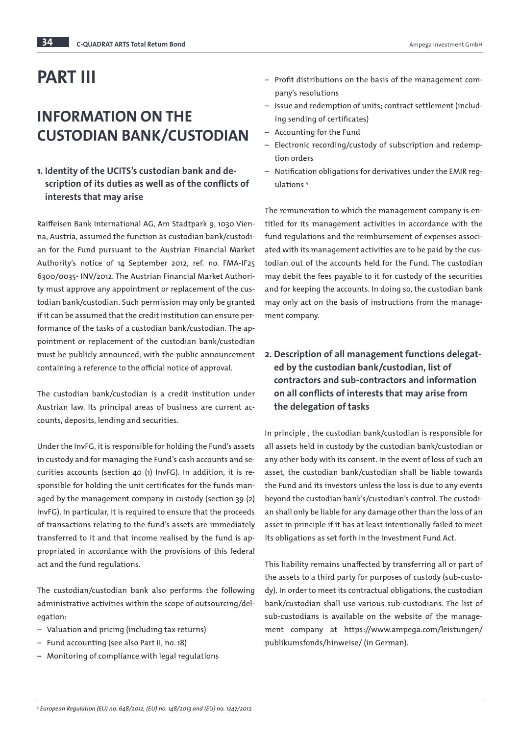# PART III

# INFORMATION ON THE CUSTODIAN BANK/CUSTODIAN

## 1. Identity of the UCITS's custodian bank and description of its duties as well as of the conflicts of interests that may arise

Raiffeisen Bank International AG, Am Stadtpark 9, 1030 Vienna, Austria, assumed the function as custodian bank/custodian for the Fund pursuant to the Austrian Financial Market Authority's notice of 14 September 2012, ref. no. FMA-IF25 6300/0035- INV/2012. The Austrian Financial Market Authority must approve any appointment or replacement of the custodian bank/custodian. Such permission may only be granted if it can be assumed that the credit institution can ensure performance of the tasks of a custodian bank/custodian. The appointment or replacement of the custodian bank/custodian must be publicly announced, with the public announcement containing a reference to the official notice of approval.

The custodian bank/custodian is a credit institution under Austrian law. Its principal areas of business are current accounts, deposits, lending and securities.

Under the InvFG, it is responsible for holding the Fund's assets in custody and for managing the Fund's cash accounts and securities accounts (section 40 (1) InvFG). In addition, it is responsible for holding the unit certificates for the funds managed by the management company in custody (section 39 (2) InvFG). In particular, it is required to ensure that the proceeds of transactions relating to the fund's assets are immediately transferred to it and that income realised by the fund is appropriated in accordance with the provisions of this federal act and the fund regulations.

The custodian/custodian bank also performs the following administrative activities within the scope of outsourcing/delegation:

- Valuation and pricing (including tax returns)
- Fund accounting (see also Part II, no. 18)
- Monitoring of compliance with legal regulations
- Profit distributions on the basis of the management com-
- pany's resolutions
- Issue and redemption of units; contract settlement (including sending of certificates)
- Accounting for the Fund
- Electronic recording/custody of subscription and redemption orders
- Notification obligations for derivatives under the EMIR regulations<sup>5</sup>

The remuneration to which the management company is entitled for its management activities in accordance with the fund regulations and the reimbursement of expenses associated with its management activities are to be paid by the custodian out of the accounts held for the Fund. The custodian may debit the fees payable to it for custody of the securities and for keeping the accounts. In doing so, the custodian bank may only act on the basis of instructions from the management company.

## 2. Description of all management functions delegated by the custodian bank/custodian, list of contractors and sub-contractors and information on all conflicts of interests that may arise from the delegation of tasks

In principle , the custodian bank/custodian is responsible for all assets held in custody by the custodian bank/custodian or any other body with its consent. In the event of loss of such an asset, the custodian bank/custodian shall be liable towards the Fund and its investors unless the loss is due to any events beyond the custodian bank's/custodian's control. The custodian shall only be liable for any damage other than the loss of an asset in principle if it has at least intentionally failed to meet its obligations as set forth in the Investment Fund Act.

This liability remains unaffected by transferring all or part of the assets to a third party for purposes of custody (sub-custody). In order to meet its contractual obligations, the custodian bank/custodian shall use various sub-custodians. The list of sub-custodians is available on the website of the management company at https://www.ampega.com/leistungen/ publikumsfonds/hinweise/ (in German).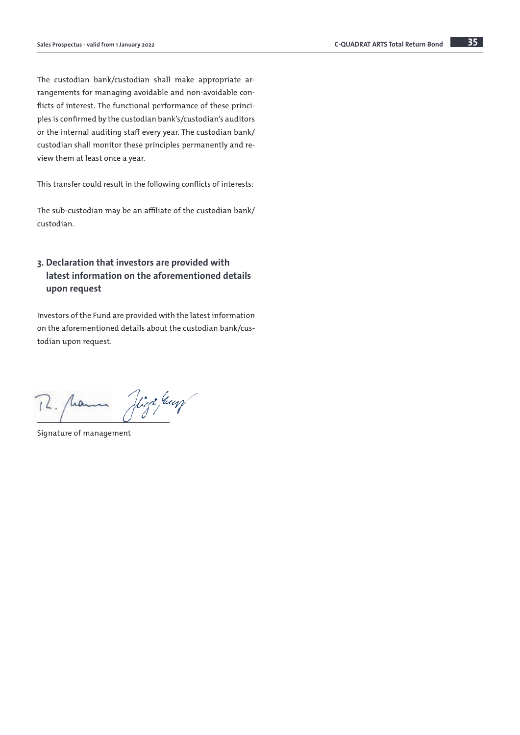The custodian bank/custodian shall make appropriate arrangements for managing avoidable and non-avoidable conflicts of interest. The functional performance of these principles is confirmed by the custodian bank's/custodian's auditors or the internal auditing staff every year. The custodian bank/ custodian shall monitor these principles permanently and review them at least once a year.

This transfer could result in the following conflicts of interests:

The sub-custodian may be an affiliate of the custodian bank/ custodian.

## 3. Declaration that investors are provided with latest information on the aforementioned details upon request

Investors of the Fund are provided with the latest information on the aforementioned details about the custodian bank/custodian upon request.

12. panna High Juan

Signature of management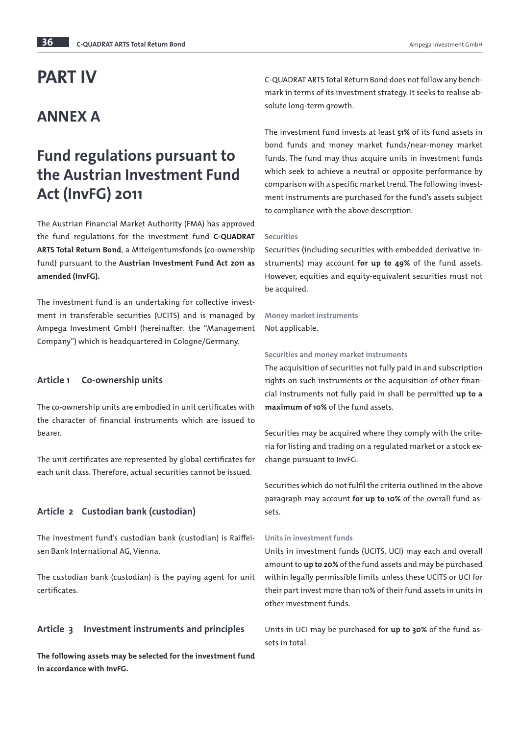# PART IV

## ANNEX A

# Fund regulations pursuant to the Austrian Investment Fund Act (InvFG) 2011

The Austrian Financial Market Authority (FMA) has approved the fund regulations for the investment fund C-QUADRAT ARTS Total Return Bond, a Miteigentumsfonds (co-ownership fund) pursuant to the Austrian Investment Fund Act 2011 as amended (InvFG).

The investment fund is an undertaking for collective investment in transferable securities (UCITS) and is managed by Ampega Investment GmbH (hereinafter: the "Management Company") which is headquartered in Cologne/Germany.

## Article 1 Co-ownership units

The co-ownership units are embodied in unit certificates with the character of financial instruments which are issued to bearer.

The unit certificates are represented by global certificates for each unit class. Therefore, actual securities cannot be issued.

## Article 2 Custodian bank (custodian)

The investment fund's custodian bank (custodian) is Raiffeisen Bank International AG, Vienna.

The custodian bank (custodian) is the paying agent for unit certificates.

## Article 3 Investment instruments and principles

The following assets may be selected for the investment fund in accordance with InvFG.

C-QUADRAT ARTS Total Return Bond does not follow any benchmark in terms of its investment strategy. It seeks to realise absolute long-term growth.

The investment fund invests at least 51% of its fund assets in bond funds and money market funds/near-money market funds. The fund may thus acquire units in investment funds which seek to achieve a neutral or opposite performance by comparison with a specific market trend. The following investment instruments are purchased for the fund's assets subject to compliance with the above description.

#### **Securities**

Securities (including securities with embedded derivative instruments) may account for up to 49% of the fund assets. However, equities and equity-equivalent securities must not be acquired.

## Money market instruments

Not applicable.

#### Securities and money market instruments

The acquisition of securities not fully paid in and subscription rights on such instruments or the acquisition of other financial instruments not fully paid in shall be permitted up to a maximum of 10% of the fund assets.

Securities may be acquired where they comply with the criteria for listing and trading on a regulated market or a stock exchange pursuant to InvFG.

Securities which do not fulfil the criteria outlined in the above paragraph may account for up to 10% of the overall fund assets.

#### Units in investment funds

Units in investment funds (UCITS, UCI) may each and overall amount to up to 20% of the fund assets and may be purchased within legally permissible limits unless these UCITS or UCI for their part invest more than 10% of their fund assets in units in other investment funds.

Units in UCI may be purchased for up to 30% of the fund assets in total.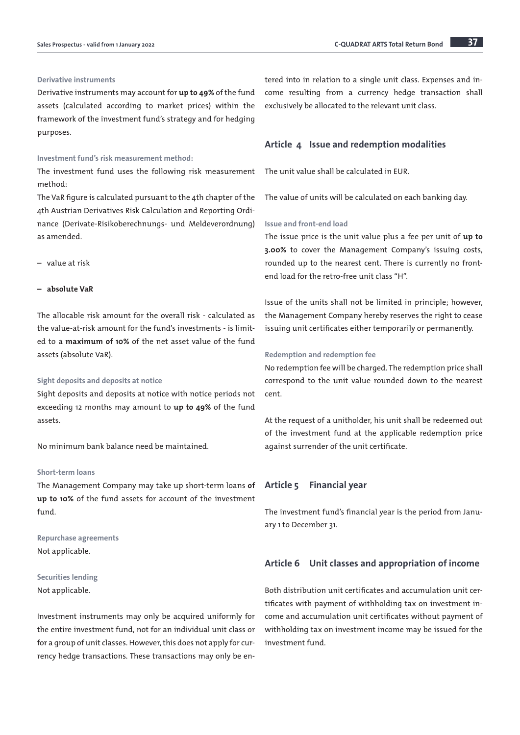#### Derivative instruments

Derivative instruments may account for up to 49% of the fund assets (calculated according to market prices) within the framework of the investment fund's strategy and for hedging purposes.

#### Investment fund's risk measurement method:

The investment fund uses the following risk measurement method:

The VaR figure is calculated pursuant to the 4th chapter of the 4th Austrian Derivatives Risk Calculation and Reporting Ordinance (Derivate-Risikoberechnungs- und Meldeverordnung) as amended.

– value at risk

#### – absolute VaR

The allocable risk amount for the overall risk - calculated as the value-at-risk amount for the fund's investments - is limited to a maximum of 10% of the net asset value of the fund assets (absolute VaR).

#### Sight deposits and deposits at notice

Sight deposits and deposits at notice with notice periods not exceeding 12 months may amount to up to 49% of the fund assets.

No minimum bank balance need be maintained.

### Short-term loans

The Management Company may take up short-term loans of up to 10% of the fund assets for account of the investment fund.

Repurchase agreements Not applicable.

## Securities lending Not applicable.

Investment instruments may only be acquired uniformly for the entire investment fund, not for an individual unit class or for a group of unit classes. However, this does not apply for currency hedge transactions. These transactions may only be entered into in relation to a single unit class. Expenses and income resulting from a currency hedge transaction shall exclusively be allocated to the relevant unit class.

## Article 4 Issue and redemption modalities

The unit value shall be calculated in EUR.

The value of units will be calculated on each banking day.

## Issue and front-end load

The issue price is the unit value plus a fee per unit of up to 3.00% to cover the Management Company's issuing costs, rounded up to the nearest cent. There is currently no frontend load for the retro-free unit class "H".

Issue of the units shall not be limited in principle; however, the Management Company hereby reserves the right to cease issuing unit certificates either temporarily or permanently.

#### Redemption and redemption fee

No redemption fee will be charged. The redemption price shall correspond to the unit value rounded down to the nearest cent.

At the request of a unitholder, his unit shall be redeemed out of the investment fund at the applicable redemption price against surrender of the unit certificate.

## Article 5 Financial year

The investment fund's financial year is the period from January 1 to December 31.

#### Article 6 Unit classes and appropriation of income

Both distribution unit certificates and accumulation unit certificates with payment of withholding tax on investment income and accumulation unit certificates without payment of withholding tax on investment income may be issued for the investment fund.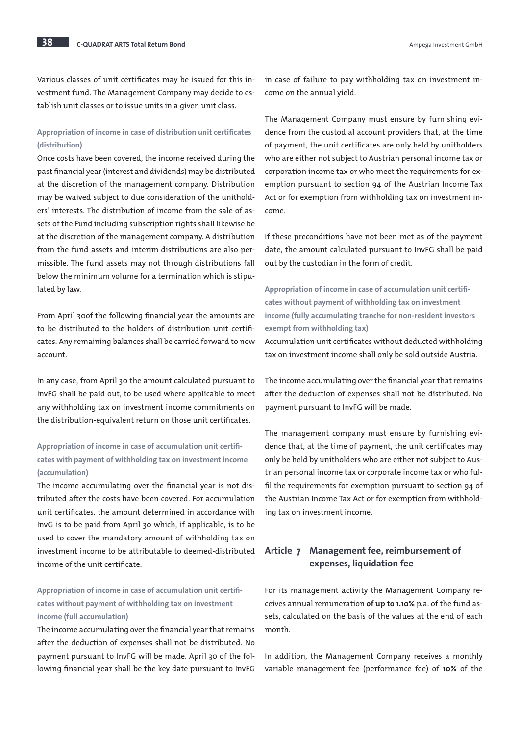Various classes of unit certificates may be issued for this investment fund. The Management Company may decide to establish unit classes or to issue units in a given unit class.

## Appropriation of income in case of distribution unit certificates (distribution)

Once costs have been covered, the income received during the past financial year (interest and dividends) may be distributed at the discretion of the management company. Distribution may be waived subject to due consideration of the unitholders' interests. The distribution of income from the sale of assets of the Fund including subscription rights shall likewise be at the discretion of the management company. A distribution from the fund assets and interim distributions are also permissible. The fund assets may not through distributions fall below the minimum volume for a termination which is stipulated by law.

From April 30of the following financial year the amounts are to be distributed to the holders of distribution unit certificates. Any remaining balances shall be carried forward to new account.

In any case, from April 30 the amount calculated pursuant to InvFG shall be paid out, to be used where applicable to meet any withholding tax on investment income commitments on the distribution-equivalent return on those unit certificates.

## Appropriation of income in case of accumulation unit certificates with payment of withholding tax on investment income (accumulation)

The income accumulating over the financial year is not distributed after the costs have been covered. For accumulation unit certificates, the amount determined in accordance with InvG is to be paid from April 30 which, if applicable, is to be used to cover the mandatory amount of withholding tax on investment income to be attributable to deemed-distributed income of the unit certificate.

## Appropriation of income in case of accumulation unit certificates without payment of withholding tax on investment income (full accumulation)

The income accumulating over the financial year that remains after the deduction of expenses shall not be distributed. No payment pursuant to InvFG will be made. April 30 of the following financial year shall be the key date pursuant to InvFG

in case of failure to pay withholding tax on investment income on the annual yield.

The Management Company must ensure by furnishing evidence from the custodial account providers that, at the time of payment, the unit certificates are only held by unitholders who are either not subject to Austrian personal income tax or corporation income tax or who meet the requirements for exemption pursuant to section 94 of the Austrian Income Tax Act or for exemption from withholding tax on investment income.

If these preconditions have not been met as of the payment date, the amount calculated pursuant to InvFG shall be paid out by the custodian in the form of credit.

Appropriation of income in case of accumulation unit certificates without payment of withholding tax on investment income (fully accumulating tranche for non-resident investors exempt from withholding tax)

Accumulation unit certificates without deducted withholding tax on investment income shall only be sold outside Austria.

The income accumulating over the financial year that remains after the deduction of expenses shall not be distributed. No payment pursuant to InvFG will be made.

The management company must ensure by furnishing evidence that, at the time of payment, the unit certificates may only be held by unitholders who are either not subject to Austrian personal income tax or corporate income tax or who fulfil the requirements for exemption pursuant to section 94 of the Austrian Income Tax Act or for exemption from withholding tax on investment income.

## Article 7 Management fee, reimbursement of expenses, liquidation fee

For its management activity the Management Company receives annual remuneration of up to 1.10% p.a. of the fund assets, calculated on the basis of the values at the end of each month.

In addition, the Management Company receives a monthly variable management fee (performance fee) of 10% of the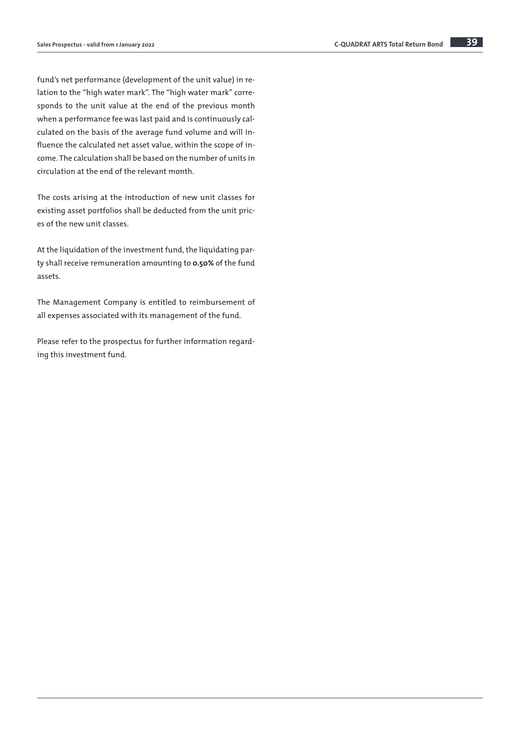fund's net performance (development of the unit value) in relation to the "high water mark". The "high water mark" corresponds to the unit value at the end of the previous month when a performance fee was last paid and is continuously calculated on the basis of the average fund volume and will influence the calculated net asset value, within the scope of income. The calculation shall be based on the number of units in circulation at the end of the relevant month.

The costs arising at the introduction of new unit classes for existing asset portfolios shall be deducted from the unit prices of the new unit classes.

At the liquidation of the investment fund, the liquidating party shall receive remuneration amounting to 0.50% of the fund assets.

The Management Company is entitled to reimbursement of all expenses associated with its management of the fund.

Please refer to the prospectus for further information regarding this investment fund.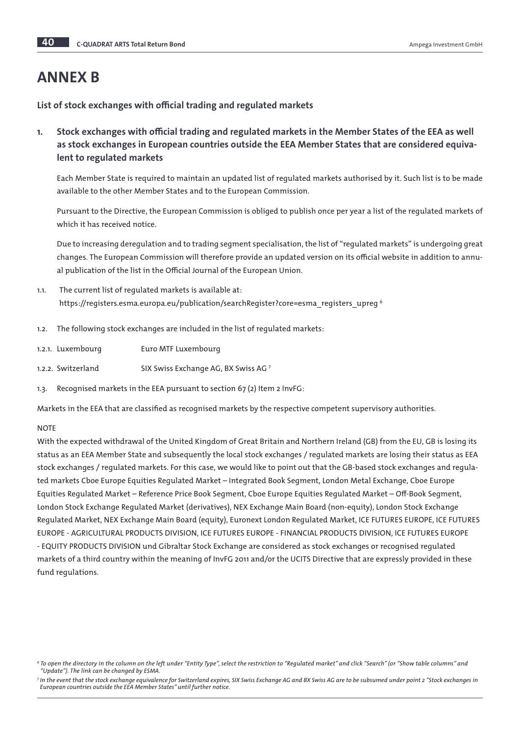# ANNEX B

List of stock exchanges with official trading and regulated markets

1. Stock exchanges with official trading and regulated markets in the Member States of the EEA as well as stock exchanges in European countries outside the EEA Member States that are considered equivalent to regulated markets

Each Member State is required to maintain an updated list of regulated markets authorised by it. Such list is to be made available to the other Member States and to the European Commission.

Pursuant to the Directive, the European Commission is obliged to publish once per year a list of the regulated markets of which it has received notice.

Due to increasing deregulation and to trading segment specialisation, the list of "regulated markets" is undergoing great changes. The European Commission will therefore provide an updated version on its official website in addition to annual publication of the list in the Official Journal of the European Union.

- 1.1. The current list of regulated markets is available at: https://registers.esma.europa.eu/publication/searchRegister?core=esma\_registers\_upreg <sup>6</sup>
- 1.2. The following stock exchanges are included in the list of regulated markets:
- 1.2.1. Luxembourg Euro MTF Luxembourg
- 1.2.2. Switzerland SIX Swiss Exchange AG, BX Swiss AG 7
- 1.3. Recognised markets in the EEA pursuant to section 67 (2) Item 2 InvFG:

Markets in the EEA that are classified as recognised markets by the respective competent supervisory authorities.

## **NOTE**

With the expected withdrawal of the United Kingdom of Great Britain and Northern Ireland (GB) from the EU, GB is losing its status as an EEA Member State and subsequently the local stock exchanges / regulated markets are losing their status as EEA stock exchanges / regulated markets. For this case, we would like to point out that the GB-based stock exchanges and regulated markets Cboe Europe Equities Regulated Market – Integrated Book Segment, London Metal Exchange, Cboe Europe Equities Regulated Market – Reference Price Book Segment, Cboe Europe Equities Regulated Market – Off-Book Segment, London Stock Exchange Regulated Market (derivatives), NEX Exchange Main Board (non-equity), London Stock Exchange Regulated Market, NEX Exchange Main Board (equity), Euronext London Regulated Market, ICE FUTURES EUROPE, ICE FUTURES EUROPE - AGRICULTURAL PRODUCTS DIVISION, ICE FUTURES EUROPE - FINANCIAL PRODUCTS DIVISION, ICE FUTURES EUROPE - EQUITY PRODUCTS DIVISION und Gibraltar Stock Exchange are considered as stock exchanges or recognised regulated markets of a third country within the meaning of InvFG 2011 and/or the UCITS Directive that are expressly provided in these fund regulations.

*<sup>6</sup> To open the directory in the column on the left under "Entity Type", select the restriction to "Regulated market" and click "Search" (or "Show table columns" and "Update"). The link can be changed by ESMA.*

*<sup>7</sup> In the event that the stock exchange equivalence for Switzerland expires, SIX Swiss Exchange AG and BX Swiss AG are to be subsumed under point 2 "Stock exchanges in European countries outside the EEA Member States" until further notice.*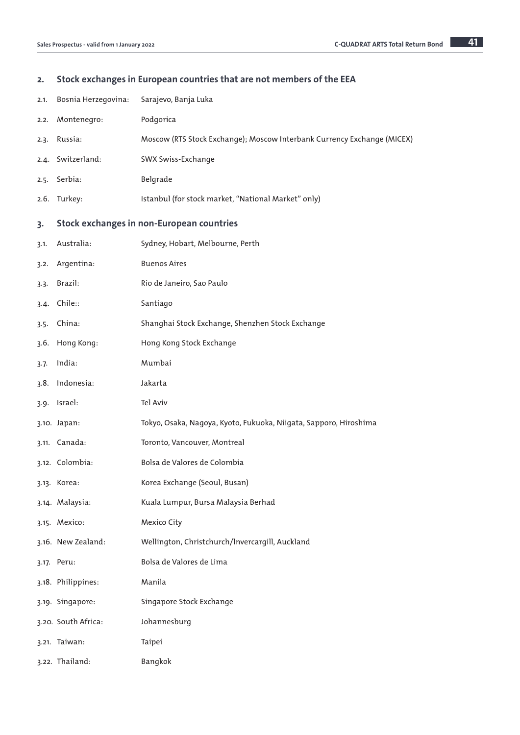## 2. Stock exchanges in European countries that are not members of the EEA

| 2.1. | Bosnia Herzegovina: | Sarajevo, Banja Luka                                                    |
|------|---------------------|-------------------------------------------------------------------------|
| 2.2. | Montenegro:         | Podgorica                                                               |
| 2.3. | Russia:             | Moscow (RTS Stock Exchange); Moscow Interbank Currency Exchange (MICEX) |
|      | 2.4. Switzerland:   | SWX Swiss-Exchange                                                      |
| 2.5. | Serbia:             | Belgrade                                                                |
| 2.6. | Turkey:             | Istanbul (for stock market, "National Market" only)                     |
| 3.   |                     | <b>Stock exchanges in non-European countries</b>                        |
| 3.1. | Australia:          | Sydney, Hobart, Melbourne, Perth                                        |
| 3.2. | Argentina:          | <b>Buenos Aires</b>                                                     |
| 3.3. | Brazil:             | Rio de Janeiro, Sao Paulo                                               |
| 3.4. | Chile::             | Santiago                                                                |
| 3.5. | China:              | Shanghai Stock Exchange, Shenzhen Stock Exchange                        |
| 3.6. | Hong Kong:          | Hong Kong Stock Exchange                                                |
| 3.7. | India:              | Mumbai                                                                  |
| 3.8. | Indonesia:          | Jakarta                                                                 |
|      | 3.9. Israel:        | Tel Aviv                                                                |
|      | 3.10. Japan:        | Tokyo, Osaka, Nagoya, Kyoto, Fukuoka, Niigata, Sapporo, Hiroshima       |
|      | 3.11. Canada:       | Toronto, Vancouver, Montreal                                            |
|      | 3.12. Colombia:     | Bolsa de Valores de Colombia                                            |
|      | 3.13. Korea:        | Korea Exchange (Seoul, Busan)                                           |
|      | 3.14. Malaysia:     | Kuala Lumpur, Bursa Malaysia Berhad                                     |
|      | 3.15. Mexico:       | Mexico City                                                             |
|      | 3.16. New Zealand:  | Wellington, Christchurch/Invercargill, Auckland                         |
|      | 3.17. Peru:         | Bolsa de Valores de Lima                                                |
|      | 3.18. Philippines:  | Manila                                                                  |
|      | 3.19. Singapore:    | Singapore Stock Exchange                                                |
|      | 3.20. South Africa: | Johannesburg                                                            |
|      | 3.21. Taiwan:       | Taipei                                                                  |
|      | 3.22. Thailand:     | Bangkok                                                                 |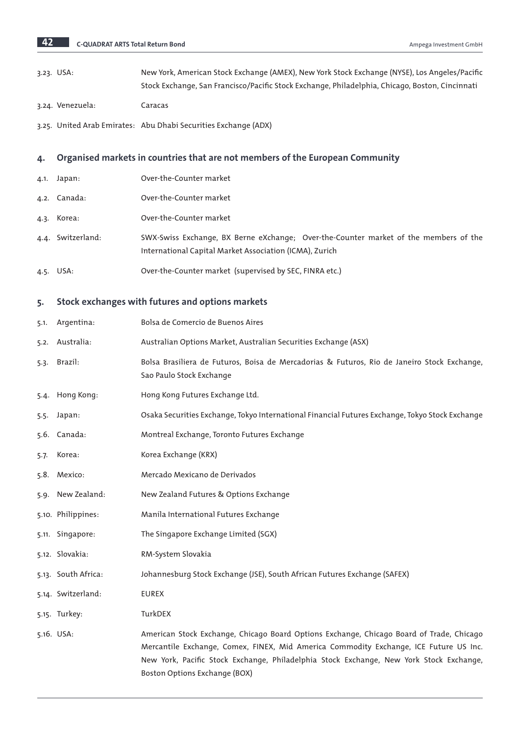| New York, American Stock Exchange (AMEX), New York Stock Exchange (NYSE), Los Angeles/Pacific   |
|-------------------------------------------------------------------------------------------------|
| Stock Exchange, San Francisco/Pacific Stock Exchange, Philadelphia, Chicago, Boston, Cincinnati |

3.24. Venezuela: Caracas

3.25. United Arab Emirates: Abu Dhabi Securities Exchange (ADX)

## 4. Organised markets in countries that are not members of the European Community

- 4.1. Japan: Over-the-Counter market
- 4.2. Canada: Over-the-Counter market
- 4.3. Korea: Over-the-Counter market
- 4.4. Switzerland: SWX-Swiss Exchange, BX Berne eXchange; Over-the-Counter market of the members of the International Capital Market Association (ICMA), Zurich
- 4.5. USA: Over-the-Counter market (supervised by SEC, FINRA etc.)

## 5. Stock exchanges with futures and options markets

|      | 5.1. Argentina:     | Bolsa de Comercio de Buenos Aires                                                                                                                                                                                                                                                                             |
|------|---------------------|---------------------------------------------------------------------------------------------------------------------------------------------------------------------------------------------------------------------------------------------------------------------------------------------------------------|
|      | 5.2. Australia:     | Australian Options Market, Australian Securities Exchange (ASX)                                                                                                                                                                                                                                               |
| 5.3. | Brazil:             | Bolsa Brasiliera de Futuros, Boisa de Mercadorias & Futuros, Rio de Janeiro Stock Exchange,<br>Sao Paulo Stock Exchange                                                                                                                                                                                       |
|      | 5.4. Hong Kong:     | Hong Kong Futures Exchange Ltd.                                                                                                                                                                                                                                                                               |
|      | 5.5. Japan:         | Osaka Securities Exchange, Tokyo International Financial Futures Exchange, Tokyo Stock Exchange                                                                                                                                                                                                               |
|      | 5.6. Canada:        | Montreal Exchange, Toronto Futures Exchange                                                                                                                                                                                                                                                                   |
| 5.7. | Korea:              | Korea Exchange (KRX)                                                                                                                                                                                                                                                                                          |
|      | 5.8. Mexico:        | Mercado Mexicano de Derivados                                                                                                                                                                                                                                                                                 |
|      | 5.9. New Zealand:   | New Zealand Futures & Options Exchange                                                                                                                                                                                                                                                                        |
|      | 5.10. Philippines:  | Manila International Futures Exchange                                                                                                                                                                                                                                                                         |
|      | 5.11. Singapore:    | The Singapore Exchange Limited (SGX)                                                                                                                                                                                                                                                                          |
|      | 5.12. Slovakia:     | RM-System Slovakia                                                                                                                                                                                                                                                                                            |
|      | 5.13. South Africa: | Johannesburg Stock Exchange (JSE), South African Futures Exchange (SAFEX)                                                                                                                                                                                                                                     |
|      | 5.14. Switzerland:  | <b>EUREX</b>                                                                                                                                                                                                                                                                                                  |
|      | 5.15. Turkey:       | TurkDEX                                                                                                                                                                                                                                                                                                       |
|      | 5.16. USA:          | American Stock Exchange, Chicago Board Options Exchange, Chicago Board of Trade, Chicago<br>Mercantile Exchange, Comex, FINEX, Mid America Commodity Exchange, ICE Future US Inc.<br>New York, Pacific Stock Exchange, Philadelphia Stock Exchange, New York Stock Exchange,<br>Boston Options Exchange (BOX) |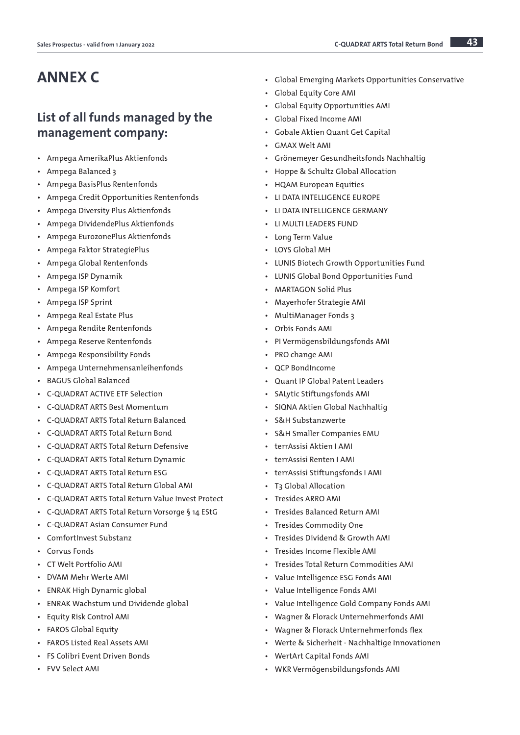# ANNEX C

## List of all funds managed by the management company:

- Ampega AmerikaPlus Aktienfonds
- Ampega Balanced 3
- Ampega BasisPlus Rentenfonds
- Ampega Credit Opportunities Rentenfonds
- Ampega Diversity Plus Aktienfonds
- Ampega DividendePlus Aktienfonds
- Ampega EurozonePlus Aktienfonds
- Ampega Faktor StrategiePlus
- Ampega Global Rentenfonds
- Ampega ISP Dynamik
- Ampega ISP Komfort
- Ampega ISP Sprint
- Ampega Real Estate Plus
- Ampega Rendite Rentenfonds
- Ampega Reserve Rentenfonds
- Ampega Responsibility Fonds
- Ampega Unternehmensanleihenfonds
- BAGUS Global Balanced
- C-QUADRAT ACTIVE ETF Selection
- C-QUADRAT ARTS Best Momentum
- C-QUADRAT ARTS Total Return Balanced
- C-QUADRAT ARTS Total Return Bond
- C-QUADRAT ARTS Total Return Defensive
- C-QUADRAT ARTS Total Return Dynamic
- C-QUADRAT ARTS Total Return ESG
- C-QUADRAT ARTS Total Return Global AMI
- C-QUADRAT ARTS Total Return Value Invest Protect
- C-QUADRAT ARTS Total Return Vorsorge § 14 EStG
- C-QUADRAT Asian Consumer Fund
- ComfortInvest Substanz
- Corvus Fonds
- CT Welt Portfolio AMI
- DVAM Mehr Werte AMI
- ENRAK High Dynamic global
- ENRAK Wachstum und Dividende global
- Equity Risk Control AMI
- FAROS Global Equity
- FAROS Listed Real Assets AMI
- FS Colibri Event Driven Bonds
- FVV Select AMI
- Global Emerging Markets Opportunities Conservative
- Global Equity Core AMI
- Global Equity Opportunities AMI
- Global Fixed Income AMI
- Gobale Aktien Quant Get Capital
- GMAX Welt AMI
- Grönemeyer Gesundheitsfonds Nachhaltig
- Hoppe & Schultz Global Allocation
- HQAM European Equities
- LI DATA INTELLIGENCE EUROPE
- LI DATA INTELLIGENCE GERMANY
- LI MULTI LEADERS FUND
- Long Term Value
- LOYS Global MH
- LUNIS Biotech Growth Opportunities Fund
- LUNIS Global Bond Opportunities Fund
- MARTAGON Solid Plus
- Mayerhofer Strategie AMI
- MultiManager Fonds 3
- Orbis Fonds AMI
- PI Vermögensbildungsfonds AMI
- PRO change AMI
- QCP BondIncome
- Quant IP Global Patent Leaders
- SALytic Stiftungsfonds AMI
- SIQNA Aktien Global Nachhaltig
- S&H Substanzwerte
- S&H Smaller Companies EMU
- terrAssisi Aktien I AMI
- terrAssisi Renten I AMI
- terrAssisi Stiftungsfonds I AMI
- T3 Global Allocation
- Tresides ARRO AMI
- Tresides Balanced Return AMI
- Tresides Commodity One
- Tresides Dividend & Growth AMI
- Tresides Income Flexible AMI
- Tresides Total Return Commodities AMI
- Value Intelligence ESG Fonds AMI
- Value Intelligence Fonds AMI
- Value Intelligence Gold Company Fonds AMI
- Wagner & Florack Unternehmerfonds AMI
- Wagner & Florack Unternehmerfonds flex
- Werte & Sicherheit Nachhaltige Innovationen
- WertArt Capital Fonds AMI
- WKR Vermögensbildungsfonds AMI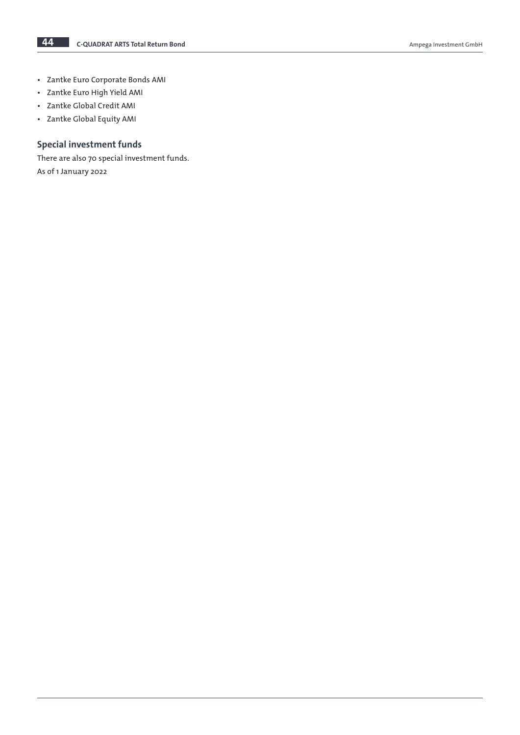- Zantke Euro Corporate Bonds AMI
- Zantke Euro High Yield AMI
- Zantke Global Credit AMI
- Zantke Global Equity AMI

## Special investment funds

There are also 70 special investment funds. As of 1 January 2022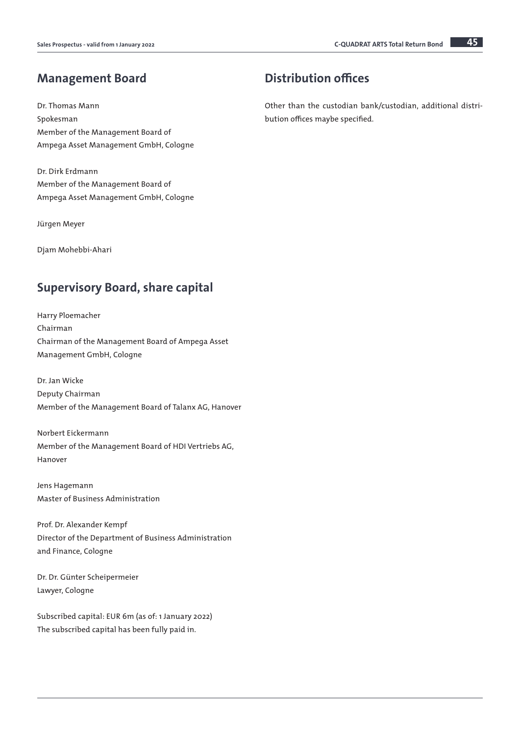## Management Board

Dr. Thomas Mann Spokesman Member of the Management Board of Ampega Asset Management GmbH, Cologne

Dr. Dirk Erdmann Member of the Management Board of Ampega Asset Management GmbH, Cologne

Jürgen Meyer

Djam Mohebbi-Ahari

## Supervisory Board, share capital

Harry Ploemacher Chairman Chairman of the Management Board of Ampega Asset Management GmbH, Cologne

Dr. Jan Wicke Deputy Chairman Member of the Management Board of Talanx AG, Hanover

Norbert Eickermann Member of the Management Board of HDI Vertriebs AG, Hanover

Jens Hagemann Master of Business Administration

Prof. Dr. Alexander Kempf Director of the Department of Business Administration and Finance, Cologne

Dr. Dr. Günter Scheipermeier Lawyer, Cologne

Subscribed capital: EUR 6m (as of: 1 January 2022) The subscribed capital has been fully paid in.

## Distribution offices

Other than the custodian bank/custodian, additional distribution offices maybe specified.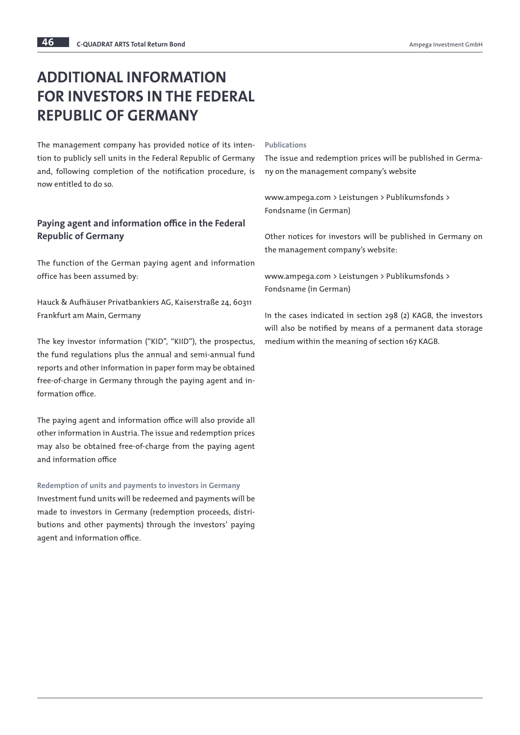# ADDITIONAL INFORMATION FOR INVESTORS IN THE FEDERAL REPUBLIC OF GERMANY

The management company has provided notice of its intention to publicly sell units in the Federal Republic of Germany and, following completion of the notification procedure, is now entitled to do so.

## Paying agent and information office in the Federal Republic of Germany

The function of the German paying agent and information office has been assumed by:

Hauck & Aufhäuser Privatbankiers AG, Kaiserstraße 24, 60311 Frankfurt am Main, Germany

The key investor information ("KID", "KIID"), the prospectus, the fund regulations plus the annual and semi-annual fund reports and other information in paper form may be obtained free-of-charge in Germany through the paying agent and information office.

The paying agent and information office will also provide all other information in Austria. The issue and redemption prices may also be obtained free-of-charge from the paying agent and information office

Redemption of units and payments to investors in Germany Investment fund units will be redeemed and payments will be made to investors in Germany (redemption proceeds, distributions and other payments) through the investors' paying agent and information office.

#### Publications

The issue and redemption prices will be published in Germany on the management company's website

www.ampega.com > Leistungen > Publikumsfonds > Fondsname (in German)

Other notices for investors will be published in Germany on the management company's website:

www.ampega.com > Leistungen > Publikumsfonds > Fondsname (in German)

In the cases indicated in section 298 (2) KAGB, the investors will also be notified by means of a permanent data storage medium within the meaning of section 167 KAGB.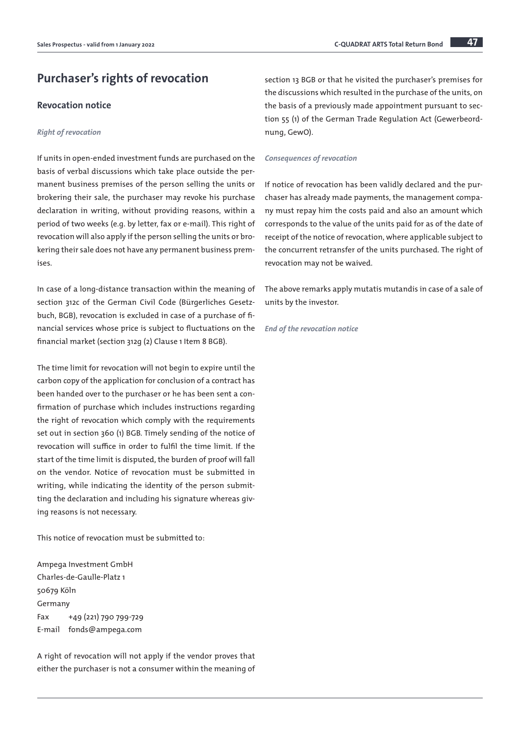## Purchaser's rights of revocation

## Revocation notice

#### *Right of revocation*

If units in open-ended investment funds are purchased on the basis of verbal discussions which take place outside the permanent business premises of the person selling the units or brokering their sale, the purchaser may revoke his purchase declaration in writing, without providing reasons, within a period of two weeks (e.g. by letter, fax or e-mail). This right of revocation will also apply if the person selling the units or brokering their sale does not have any permanent business premises.

In case of a long-distance transaction within the meaning of section 312c of the German Civil Code (Bürgerliches Gesetzbuch, BGB), revocation is excluded in case of a purchase of financial services whose price is subject to fluctuations on the financial market (section 312g (2) Clause 1 Item 8 BGB).

The time limit for revocation will not begin to expire until the carbon copy of the application for conclusion of a contract has been handed over to the purchaser or he has been sent a confirmation of purchase which includes instructions regarding the right of revocation which comply with the requirements set out in section 360 (1) BGB. Timely sending of the notice of revocation will suffice in order to fulfil the time limit. If the start of the time limit is disputed, the burden of proof will fall on the vendor. Notice of revocation must be submitted in writing, while indicating the identity of the person submitting the declaration and including his signature whereas giving reasons is not necessary.

This notice of revocation must be submitted to:

Ampega Investment GmbH Charles-de-Gaulle-Platz 1 50679 Köln Germany Fax +49 (221) 790 799-729 E-mail fonds@ampega.com

A right of revocation will not apply if the vendor proves that either the purchaser is not a consumer within the meaning of

section 13 BGB or that he visited the purchaser's premises for the discussions which resulted in the purchase of the units, on the basis of a previously made appointment pursuant to section 55 (1) of the German Trade Regulation Act (Gewerbeordnung, GewO).

#### *Consequences of revocation*

If notice of revocation has been validly declared and the purchaser has already made payments, the management company must repay him the costs paid and also an amount which corresponds to the value of the units paid for as of the date of receipt of the notice of revocation, where applicable subject to the concurrent retransfer of the units purchased. The right of revocation may not be waived.

The above remarks apply mutatis mutandis in case of a sale of units by the investor.

*End of the revocation notice*